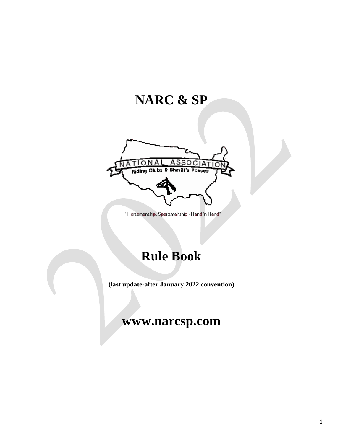# **NARC & SP**



"Horsemanship, Sportsmanship - Hand 'n Hand"

# **Rule Book**

**(last update-after January 2022 convention)**

## **www.narcsp.com**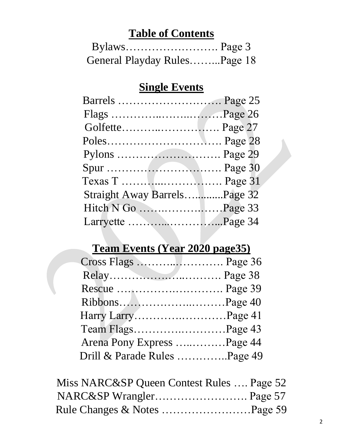# **Table of Contents**

| General Playday RulesPage 18 |  |
|------------------------------|--|

## **Single Events**

| Pylons  Page 29              |  |
|------------------------------|--|
|                              |  |
| Texas T  Page 31             |  |
| Straight Away BarrelsPage 32 |  |
|                              |  |
| Larryette Page 34            |  |

# **Team Events (Year 2020 page35)**

| Cross Flags  Page 36         |  |
|------------------------------|--|
|                              |  |
|                              |  |
|                              |  |
| Harry LarryPage 41           |  |
| Team FlagsPage 43            |  |
| Arena Pony Express Page 44   |  |
| Drill & Parade Rules Page 49 |  |

| Miss NARC&SP Queen Contest Rules  Page 52 |  |
|-------------------------------------------|--|
|                                           |  |
|                                           |  |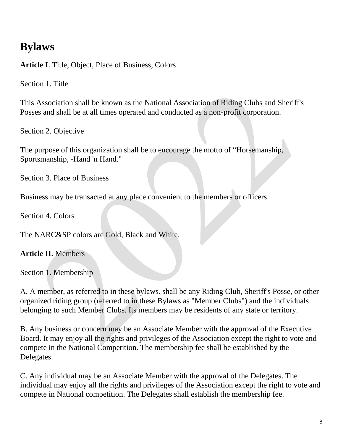## **Bylaws**

**Article I**. Title, Object, Place of Business, Colors

Section 1. Title

This Association shall be known as the National Association of Riding Clubs and Sheriff's Posses and shall be at all times operated and conducted as a non-profit corporation.

Section 2. Objective

The purpose of this organization shall be to encourage the motto of "Horsemanship, Sportsmanship, -Hand 'n Hand."

Section 3. Place of Business

Business may be transacted at any place convenient to the members or officers.

Section 4. Colors

The NARC&SP colors are Gold, Black and White.

**Article II.** Members

Section 1. Membership

A. A member, as referred to in these bylaws. shall be any Riding Club, Sheriff's Posse, or other organized riding group (referred to in these Bylaws as "Member Clubs") and the individuals belonging to such Member Clubs. Its members may be residents of any state or territory.

B. Any business or concern may be an Associate Member with the approval of the Executive Board. It may enjoy all the rights and privileges of the Association except the right to vote and compete in the National Competition. The membership fee shall be established by the Delegates.

C. Any individual may be an Associate Member with the approval of the Delegates. The individual may enjoy all the rights and privileges of the Association except the right to vote and compete in National competition. The Delegates shall establish the membership fee.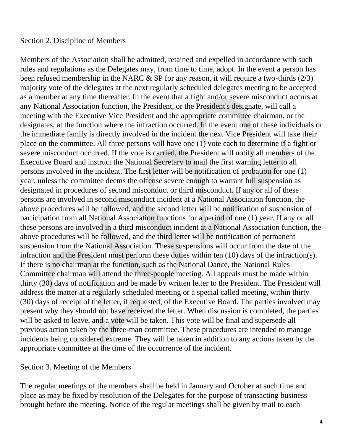#### Section 2. Discipline of Members

Members of the Association shall be admitted, retained and expelled in accordance with such rules and regulations as the Delegates may, from time to time, adopt. In the event a person has been refused membership in the NARC & SP for any reason, it will require a two-thirds (2/3) majority vote of the delegates at the next regularly scheduled delegates meeting to be accepted as a member at any time thereafter. In the event that a fight and/or severe misconduct occurs at any National Association function, the President, or the President's designate, will call a meeting with the Executive Vice President and the appropriate committee chairman, or the designates, at the function where the infraction occurred. In the event one of these individuals or the immediate family is directly involved in the incident the next Vice President will take their place on the committee. All three persons will have one (1) vote each to determine if a fight or severe misconduct occurred. If the vote is carried, the President will notify all members of the Executive Board and instruct the National Secretary to mail the first warning letter to all persons involved in the incident. The first letter will be notification of probation for one (1) year, unless the committee deems the offense severe enough to warrant full suspension as designated in procedures of second misconduct or third misconduct. If any or all of these persons are involved in second misconduct incident at a National Association function, the above procedures will be followed, and the second letter will be notification of suspension of participation from all National Association functions for a period of one (1) year. If any or all these persons are involved in a third misconduct incident at a National Association function, the above procedures will be followed, and the third letter will be notification of permanent suspension from the National Association. These suspensions will occur from the date of the infraction and the President must perform these duties within ten (10) days of the infraction(s). If there is no chairman at the function, such as the National Dance, the National Rules Committee chairman will attend the three-people meeting. All appeals must be made within thirty (30) days of notification and be made by written letter to the President. The President will address the matter at a regularly scheduled meeting or a special called meeting, within thirty (30) days of receipt of the letter, if requested, of the Executive Board. The parties involved may present why they should not have received the letter. When discussion is completed, the parties will be asked to leave, and a vote will be taken. This vote will be final and supersede all previous action taken by the three-man committee. These procedures are intended to manage incidents being considered extreme. They will be taken in addition to any actions taken by the appropriate committee at the time of the occurrence of the incident.

#### Section 3. Meeting of the Members

The regular meetings of the members shall be held in January and October at such time and place as may be fixed by resolution of the Delegates for the purpose of transacting business brought before the meeting. Notice of the regular meetings shall be given by mail to each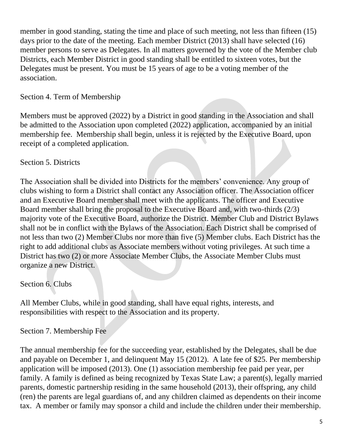member in good standing, stating the time and place of such meeting, not less than fifteen (15) days prior to the date of the meeting. Each member District (2013) shall have selected (16) member persons to serve as Delegates. In all matters governed by the vote of the Member club Districts, each Member District in good standing shall be entitled to sixteen votes, but the Delegates must be present. You must be 15 years of age to be a voting member of the association.

## Section 4. Term of Membership

Members must be approved (2022) by a District in good standing in the Association and shall be admitted to the Association upon completed (2022) application, accompanied by an initial membership fee. Membership shall begin, unless it is rejected by the Executive Board, upon receipt of a completed application.

#### Section 5. Districts

The Association shall be divided into Districts for the members' convenience. Any group of clubs wishing to form a District shall contact any Association officer. The Association officer and an Executive Board member shall meet with the applicants. The officer and Executive Board member shall bring the proposal to the Executive Board and, with two-thirds (2/3) majority vote of the Executive Board, authorize the District. Member Club and District Bylaws shall not be in conflict with the Bylaws of the Association. Each District shall be comprised of not less than two (2) Member Clubs nor more than five (5) Member clubs. Each District has the right to add additional clubs as Associate members without voting privileges. At such time a District has two (2) or more Associate Member Clubs, the Associate Member Clubs must organize a new District.

## Section 6. Clubs

All Member Clubs, while in good standing, shall have equal rights, interests, and responsibilities with respect to the Association and its property.

#### Section 7. Membership Fee

The annual membership fee for the succeeding year, established by the Delegates, shall be due and payable on December 1, and delinquent May 15 (2012). A late fee of \$25. Per membership application will be imposed (2013). One (1) association membership fee paid per year, per family. A family is defined as being recognized by Texas State Law; a parent(s), legally married parents, domestic partnership residing in the same household (2013), their offspring, any child (ren) the parents are legal guardians of, and any children claimed as dependents on their income tax. A member or family may sponsor a child and include the children under their membership.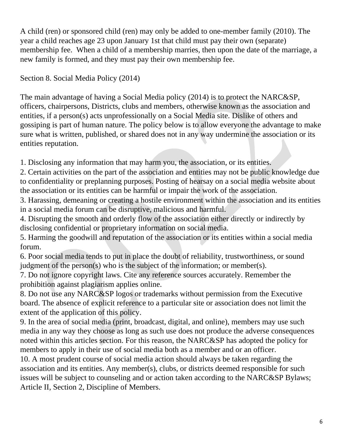A child (ren) or sponsored child (ren) may only be added to one-member family (2010). The year a child reaches age 23 upon January 1st that child must pay their own (separate) membership fee. When a child of a membership marries, then upon the date of the marriage, a new family is formed, and they must pay their own membership fee.

Section 8. Social Media Policy (2014)

The main advantage of having a Social Media policy (2014) is to protect the NARC&SP, officers, chairpersons, Districts, clubs and members, otherwise known as the association and entities, if a person(s) acts unprofessionally on a Social Media site. Dislike of others and gossiping is part of human nature. The policy below is to allow everyone the advantage to make sure what is written, published, or shared does not in any way undermine the association or its entities reputation.

1. Disclosing any information that may harm you, the association, or its entities.

2. Certain activities on the part of the association and entities may not be public knowledge due to confidentiality or preplanning purposes. Posting of hearsay on a social media website about the association or its entities can be harmful or impair the work of the association.

3. Harassing, demeaning or creating a hostile environment within the association and its entities in a social media forum can be disruptive, malicious and harmful.

4. Disrupting the smooth and orderly flow of the association either directly or indirectly by disclosing confidential or proprietary information on social media.

5. Harming the goodwill and reputation of the association or its entities within a social media forum.

6. Poor social media tends to put in place the doubt of reliability, trustworthiness, or sound judgment of the person(s) who is the subject of the information; or member(s).

7. Do not ignore copyright laws. Cite any reference sources accurately. Remember the prohibition against plagiarism applies online.

8. Do not use any NARC&SP logos or trademarks without permission from the Executive board. The absence of explicit reference to a particular site or association does not limit the extent of the application of this policy.

9. In the area of social media (print, broadcast, digital, and online), members may use such media in any way they choose as long as such use does not produce the adverse consequences noted within this articles section. For this reason, the NARC&SP has adopted the policy for members to apply in their use of social media both as a member and or an officer.

10. A most prudent course of social media action should always be taken regarding the association and its entities. Any member(s), clubs, or districts deemed responsible for such issues will be subject to counseling and or action taken according to the NARC&SP Bylaws; Article II, Section 2, Discipline of Members.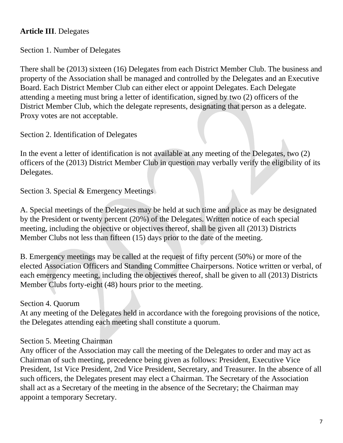## **Article III**. Delegates

Section 1. Number of Delegates

There shall be (2013) sixteen (16) Delegates from each District Member Club. The business and property of the Association shall be managed and controlled by the Delegates and an Executive Board. Each District Member Club can either elect or appoint Delegates. Each Delegate attending a meeting must bring a letter of identification, signed by two (2) officers of the District Member Club, which the delegate represents, designating that person as a delegate. Proxy votes are not acceptable.

Section 2. Identification of Delegates

In the event a letter of identification is not available at any meeting of the Delegates, two (2) officers of the (2013) District Member Club in question may verbally verify the eligibility of its Delegates.

Section 3. Special & Emergency Meetings

A. Special meetings of the Delegates may be held at such time and place as may be designated by the President or twenty percent (20%) of the Delegates. Written notice of each special meeting, including the objective or objectives thereof, shall be given all (2013) Districts Member Clubs not less than fifteen (15) days prior to the date of the meeting.

B. Emergency meetings may be called at the request of fifty percent (50%) or more of the elected Association Officers and Standing Committee Chairpersons. Notice written or verbal, of each emergency meeting, including the objectives thereof, shall be given to all (2013) Districts Member Clubs forty-eight (48) hours prior to the meeting.

#### Section 4. Quorum

At any meeting of the Delegates held in accordance with the foregoing provisions of the notice, the Delegates attending each meeting shall constitute a quorum.

#### Section 5. Meeting Chairman

Any officer of the Association may call the meeting of the Delegates to order and may act as Chairman of such meeting, precedence being given as follows: President, Executive Vice President, 1st Vice President, 2nd Vice President, Secretary, and Treasurer. In the absence of all such officers, the Delegates present may elect a Chairman. The Secretary of the Association shall act as a Secretary of the meeting in the absence of the Secretary; the Chairman may appoint a temporary Secretary.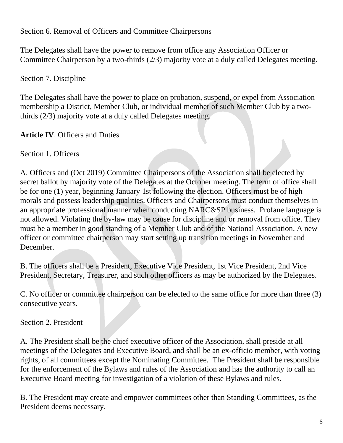Section 6. Removal of Officers and Committee Chairpersons

The Delegates shall have the power to remove from office any Association Officer or Committee Chairperson by a two-thirds (2/3) majority vote at a duly called Delegates meeting.

Section 7. Discipline

The Delegates shall have the power to place on probation, suspend, or expel from Association membership a District, Member Club, or individual member of such Member Club by a twothirds (2/3) majority vote at a duly called Delegates meeting.

**Article IV**. Officers and Duties

Section 1. Officers

A. Officers and (Oct 2019) Committee Chairpersons of the Association shall be elected by secret ballot by majority vote of the Delegates at the October meeting. The term of office shall be for one (1) year, beginning January 1st following the election. Officers must be of high morals and possess leadership qualities. Officers and Chairpersons must conduct themselves in an appropriate professional manner when conducting NARC&SP business. Profane language is not allowed. Violating the by-law may be cause for discipline and or removal from office. They must be a member in good standing of a Member Club and of the National Association. A new officer or committee chairperson may start setting up transition meetings in November and December.

B. The officers shall be a President, Executive Vice President, 1st Vice President, 2nd Vice President, Secretary, Treasurer, and such other officers as may be authorized by the Delegates.

C. No officer or committee chairperson can be elected to the same office for more than three (3) consecutive years.

Section 2. President

A. The President shall be the chief executive officer of the Association, shall preside at all meetings of the Delegates and Executive Board, and shall be an ex-officio member, with voting rights, of all committees except the Nominating Committee. The President shall be responsible for the enforcement of the Bylaws and rules of the Association and has the authority to call an Executive Board meeting for investigation of a violation of these Bylaws and rules.

B. The President may create and empower committees other than Standing Committees, as the President deems necessary.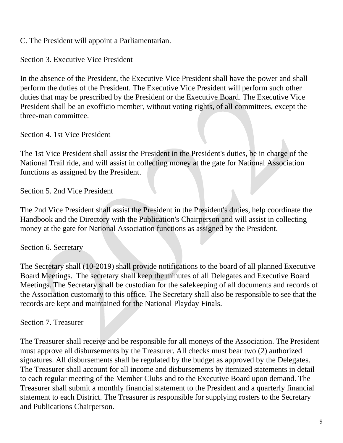C. The President will appoint a Parliamentarian.

Section 3. Executive Vice President

In the absence of the President, the Executive Vice President shall have the power and shall perform the duties of the President. The Executive Vice President will perform such other duties that may be prescribed by the President or the Executive Board. The Executive Vice President shall be an exofficio member, without voting rights, of all committees, except the three-man committee.

Section 4. 1st Vice President

The 1st Vice President shall assist the President in the President's duties, be in charge of the National Trail ride, and will assist in collecting money at the gate for National Association functions as assigned by the President.

Section 5. 2nd Vice President

The 2nd Vice President shall assist the President in the President's duties, help coordinate the Handbook and the Directory with the Publication's Chairperson and will assist in collecting money at the gate for National Association functions as assigned by the President.

Section 6. Secretary

The Secretary shall (10-2019) shall provide notifications to the board of all planned Executive Board Meetings. The secretary shall keep the minutes of all Delegates and Executive Board Meetings. The Secretary shall be custodian for the safekeeping of all documents and records of the Association customary to this office. The Secretary shall also be responsible to see that the records are kept and maintained for the National Playday Finals.

#### Section 7. Treasurer

The Treasurer shall receive and be responsible for all moneys of the Association. The President must approve all disbursements by the Treasurer. All checks must bear two (2) authorized signatures. All disbursements shall be regulated by the budget as approved by the Delegates. The Treasurer shall account for all income and disbursements by itemized statements in detail to each regular meeting of the Member Clubs and to the Executive Board upon demand. The Treasurer shall submit a monthly financial statement to the President and a quarterly financial statement to each District. The Treasurer is responsible for supplying rosters to the Secretary and Publications Chairperson.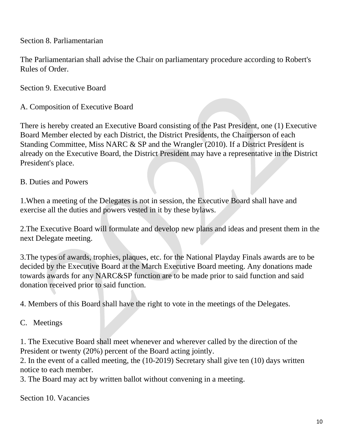Section 8. Parliamentarian

The Parliamentarian shall advise the Chair on parliamentary procedure according to Robert's Rules of Order.

Section 9. Executive Board

A. Composition of Executive Board

There is hereby created an Executive Board consisting of the Past President, one (1) Executive Board Member elected by each District, the District Presidents, the Chairperson of each Standing Committee, Miss NARC & SP and the Wrangler (2010). If a District President is already on the Executive Board, the District President may have a representative in the District President's place.

#### B. Duties and Powers

1.When a meeting of the Delegates is not in session, the Executive Board shall have and exercise all the duties and powers vested in it by these bylaws.

2.The Executive Board will formulate and develop new plans and ideas and present them in the next Delegate meeting.

3.The types of awards, trophies, plaques, etc. for the National Playday Finals awards are to be decided by the Executive Board at the March Executive Board meeting. Any donations made towards awards for any NARC&SP function are to be made prior to said function and said donation received prior to said function.

4. Members of this Board shall have the right to vote in the meetings of the Delegates.

C. Meetings

1. The Executive Board shall meet whenever and wherever called by the direction of the President or twenty (20%) percent of the Board acting jointly.

2. In the event of a called meeting, the (10-2019) Secretary shall give ten (10) days written notice to each member.

3. The Board may act by written ballot without convening in a meeting.

Section 10. Vacancies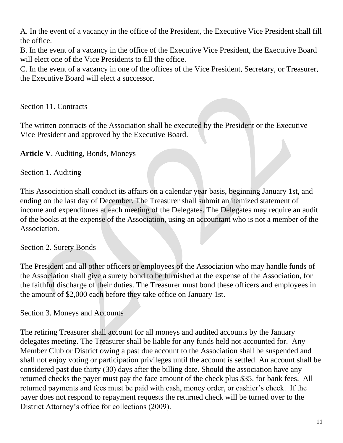A. In the event of a vacancy in the office of the President, the Executive Vice President shall fill the office.

B. In the event of a vacancy in the office of the Executive Vice President, the Executive Board will elect one of the Vice Presidents to fill the office.

C. In the event of a vacancy in one of the offices of the Vice President, Secretary, or Treasurer, the Executive Board will elect a successor.

Section 11. Contracts

The written contracts of the Association shall be executed by the President or the Executive Vice President and approved by the Executive Board.

**Article V**. Auditing, Bonds, Moneys

Section 1. Auditing

This Association shall conduct its affairs on a calendar year basis, beginning January 1st, and ending on the last day of December. The Treasurer shall submit an itemized statement of income and expenditures at each meeting of the Delegates. The Delegates may require an audit of the books at the expense of the Association, using an accountant who is not a member of the Association.

Section 2. Surety Bonds

The President and all other officers or employees of the Association who may handle funds of the Association shall give a surety bond to be furnished at the expense of the Association, for the faithful discharge of their duties. The Treasurer must bond these officers and employees in the amount of \$2,000 each before they take office on January 1st.

Section 3. Moneys and Accounts

The retiring Treasurer shall account for all moneys and audited accounts by the January delegates meeting. The Treasurer shall be liable for any funds held not accounted for. Any Member Club or District owing a past due account to the Association shall be suspended and shall not enjoy voting or participation privileges until the account is settled. An account shall be considered past due thirty (30) days after the billing date. Should the association have any returned checks the payer must pay the face amount of the check plus \$35. for bank fees. All returned payments and fees must be paid with cash, money order, or cashier's check. If the payer does not respond to repayment requests the returned check will be turned over to the District Attorney's office for collections (2009).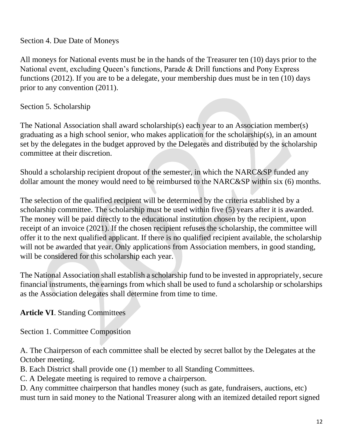Section 4. Due Date of Moneys

All moneys for National events must be in the hands of the Treasurer ten (10) days prior to the National event, excluding Queen's functions, Parade & Drill functions and Pony Express functions (2012). If you are to be a delegate, your membership dues must be in ten (10) days prior to any convention (2011).

Section 5. Scholarship

The National Association shall award scholarship(s) each year to an Association member(s) graduating as a high school senior, who makes application for the scholarship(s), in an amount set by the delegates in the budget approved by the Delegates and distributed by the scholarship committee at their discretion.

Should a scholarship recipient dropout of the semester, in which the NARC&SP funded any dollar amount the money would need to be reimbursed to the NARC&SP within six (6) months.

The selection of the qualified recipient will be determined by the criteria established by a scholarship committee. The scholarship must be used within five (5) years after it is awarded. The money will be paid directly to the educational institution chosen by the recipient, upon receipt of an invoice (2021). If the chosen recipient refuses the scholarship, the committee will offer it to the next qualified applicant. If there is no qualified recipient available, the scholarship will not be awarded that year. Only applications from Association members, in good standing, will be considered for this scholarship each year.

The National Association shall establish a scholarship fund to be invested in appropriately, secure financial instruments, the earnings from which shall be used to fund a scholarship or scholarships as the Association delegates shall determine from time to time.

**Article VI**. Standing Committees

Section 1. Committee Composition

A. The Chairperson of each committee shall be elected by secret ballot by the Delegates at the October meeting.

B. Each District shall provide one (1) member to all Standing Committees.

C. A Delegate meeting is required to remove a chairperson.

D. Any committee chairperson that handles money (such as gate, fundraisers, auctions, etc) must turn in said money to the National Treasurer along with an itemized detailed report signed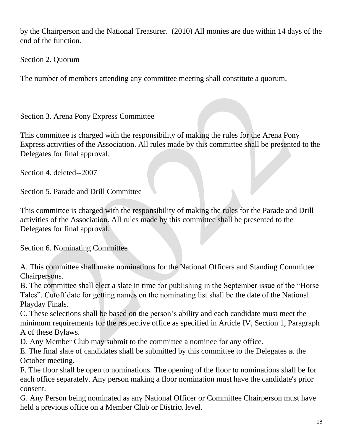by the Chairperson and the National Treasurer. (2010) All monies are due within 14 days of the end of the function.

Section 2. Quorum

The number of members attending any committee meeting shall constitute a quorum.

Section 3. Arena Pony Express Committee

This committee is charged with the responsibility of making the rules for the Arena Pony Express activities of the Association. All rules made by this committee shall be presented to the Delegates for final approval.

Section 4. deleted--2007

Section 5. Parade and Drill Committee

This committee is charged with the responsibility of making the rules for the Parade and Drill activities of the Association. All rules made by this committee shall be presented to the Delegates for final approval.

Section 6. Nominating Committee

A. This committee shall make nominations for the National Officers and Standing Committee Chairpersons.

B. The committee shall elect a slate in time for publishing in the September issue of the "Horse Tales". Cutoff date for getting names on the nominating list shall be the date of the National Playday Finals.

C. These selections shall be based on the person's ability and each candidate must meet the minimum requirements for the respective office as specified in Article IV, Section 1, Paragraph A of these Bylaws.

D. Any Member Club may submit to the committee a nominee for any office.

E. The final slate of candidates shall be submitted by this committee to the Delegates at the October meeting.

F. The floor shall be open to nominations. The opening of the floor to nominations shall be for each office separately. Any person making a floor nomination must have the candidate's prior consent.

G. Any Person being nominated as any National Officer or Committee Chairperson must have held a previous office on a Member Club or District level.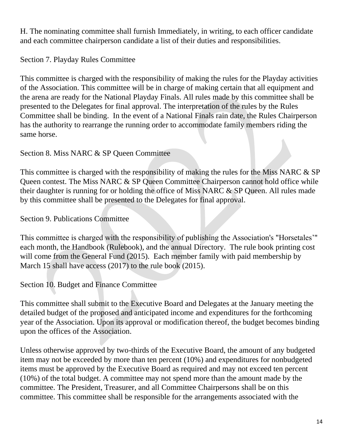H. The nominating committee shall furnish Immediately, in writing, to each officer candidate and each committee chairperson candidate a list of their duties and responsibilities.

Section 7. Playday Rules Committee

This committee is charged with the responsibility of making the rules for the Playday activities of the Association. This committee will be in charge of making certain that all equipment and the arena are ready for the National Playday Finals. All rules made by this committee shall be presented to the Delegates for final approval. The interpretation of the rules by the Rules Committee shall be binding. In the event of a National Finals rain date, the Rules Chairperson has the authority to rearrange the running order to accommodate family members riding the same horse.

Section 8. Miss NARC & SP Queen Committee

This committee is charged with the responsibility of making the rules for the Miss NARC & SP Queen contest. The Miss NARC & SP Queen Committee Chairperson cannot hold office while their daughter is running for or holding the office of Miss NARC & SP Queen. All rules made by this committee shall be presented to the Delegates for final approval.

Section 9. Publications Committee

This committee is charged with the responsibility of publishing the Association's "Horsetales'" each month, the Handbook (Rulebook), and the annual Directory. The rule book printing cost will come from the General Fund (2015). Each member family with paid membership by March 15 shall have access (2017) to the rule book (2015).

Section 10. Budget and Finance Committee

This committee shall submit to the Executive Board and Delegates at the January meeting the detailed budget of the proposed and anticipated income and expenditures for the forthcoming year of the Association. Upon its approval or modification thereof, the budget becomes binding upon the offices of the Association.

Unless otherwise approved by two-thirds of the Executive Board, the amount of any budgeted item may not be exceeded by more than ten percent (10%) and expenditures for nonbudgeted items must be approved by the Executive Board as required and may not exceed ten percent (10%) of the total budget. A committee may not spend more than the amount made by the committee. The President, Treasurer, and all Committee Chairpersons shall be on this committee. This committee shall be responsible for the arrangements associated with the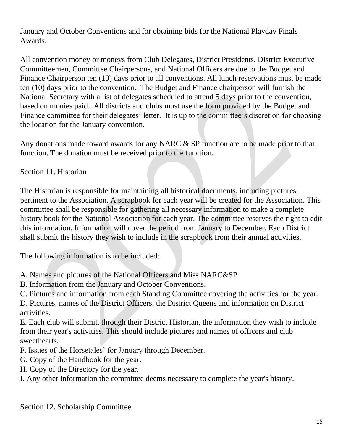January and October Conventions and for obtaining bids for the National Playday Finals Awards.

All convention money or moneys from Club Delegates, District Presidents, District Executive Committeemen, Committee Chairpersons, and National Officers are due to the Budget and Finance Chairperson ten (10) days prior to all conventions. All lunch reservations must be made ten (10) days prior to the convention. The Budget and Finance chairperson will furnish the National Secretary with a list of delegates scheduled to attend 5 days prior to the convention, based on monies paid. All districts and clubs must use the form provided by the Budget and Finance committee for their delegates' letter. It is up to the committee's discretion for choosing the location for the January convention.

Any donations made toward awards for any NARC & SP function are to be made prior to that function. The donation must be received prior to the function.

Section 11. Historian

The Historian is responsible for maintaining all historical documents, including pictures, pertinent to the Association. A scrapbook for each year will be created for the Association. This committee shall be responsible for gathering all necessary information to make a complete history book for the National Association for each year. The committee reserves the right to edit this information. Information will cover the period from January to December. Each District shall submit the history they wish to include in the scrapbook from their annual activities.

The following information is to be included:

- A. Names and pictures of the National Officers and Miss NARC&SP
- B. Information from the January and October Conventions.
- C. Pictures and information from each Standing Committee covering the activities for the year.

D. Pictures, names of the District Officers, the District Queens and information on District activities.

E. Each club will submit, through their District Historian, the information they wish to include from their year's activities. This should include pictures and names of officers and club sweethearts.

- F. Issues of the Horsetales' for January through December.
- G. Copy of the Handbook for the year.
- H. Copy of the Directory for the year.

I. Any other information the committee deems necessary to complete the year's history.

Section 12. Scholarship Committee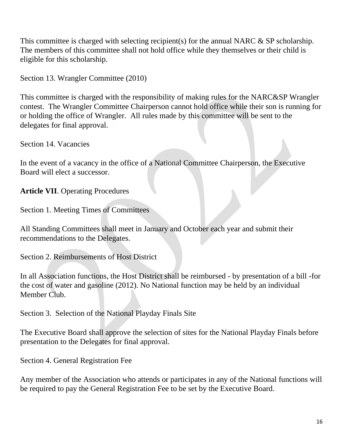This committee is charged with selecting recipient(s) for the annual NARC  $\&$  SP scholarship. The members of this committee shall not hold office while they themselves or their child is eligible for this scholarship.

Section 13. Wrangler Committee (2010)

This committee is charged with the responsibility of making rules for the NARC&SP Wrangler contest. The Wrangler Committee Chairperson cannot hold office while their son is running for or holding the office of Wrangler. All rules made by this committee will be sent to the delegates for final approval.

Section 14. Vacancies

In the event of a vacancy in the office of a National Committee Chairperson, the Executive Board will elect a successor.

**Article VII**. Operating Procedures

Section 1. Meeting Times of Committees

All Standing Committees shall meet in January and October each year and submit their recommendations to the Delegates.

Section 2. Reimbursements of Host District

In all Association functions, the Host District shall be reimbursed - by presentation of a bill -for the cost of water and gasoline (2012). No National function may be held by an individual Member Club.

Section 3. Selection of the National Playday Finals Site

The Executive Board shall approve the selection of sites for the National Playday Finals before presentation to the Delegates for final approval.

Section 4. General Registration Fee

Any member of the Association who attends or participates in any of the National functions will be required to pay the General Registration Fee to be set by the Executive Board.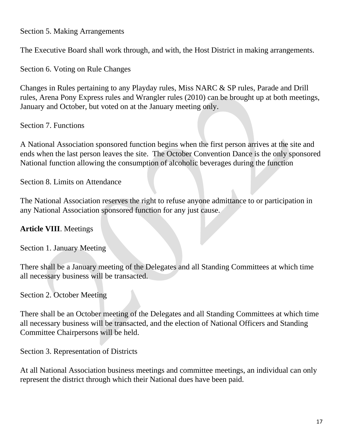Section 5. Making Arrangements

The Executive Board shall work through, and with, the Host District in making arrangements.

Section 6. Voting on Rule Changes

Changes in Rules pertaining to any Playday rules, Miss NARC & SP rules, Parade and Drill rules, Arena Pony Express rules and Wrangler rules (2010) can be brought up at both meetings, January and October, but voted on at the January meeting only.

Section 7. Functions

A National Association sponsored function begins when the first person arrives at the site and ends when the last person leaves the site. The October Convention Dance is the only sponsored National function allowing the consumption of alcoholic beverages during the function

Section 8. Limits on Attendance

The National Association reserves the right to refuse anyone admittance to or participation in any National Association sponsored function for any just cause.

#### **Article VIII**. Meetings

Section 1. January Meeting

There shall be a January meeting of the Delegates and all Standing Committees at which time all necessary business will be transacted.

Section 2. October Meeting

There shall be an October meeting of the Delegates and all Standing Committees at which time all necessary business will be transacted, and the election of National Officers and Standing Committee Chairpersons will be held.

Section 3. Representation of Districts

At all National Association business meetings and committee meetings, an individual can only represent the district through which their National dues have been paid.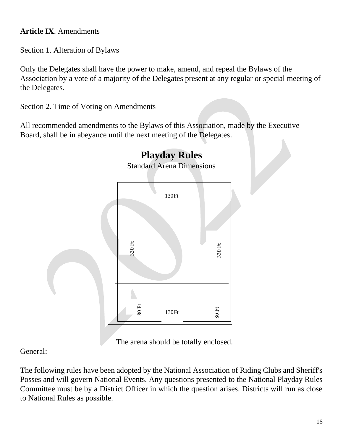## **Article IX**. Amendments

Section 1. Alteration of Bylaws

Only the Delegates shall have the power to make, amend, and repeal the Bylaws of the Association by a vote of a majority of the Delegates present at any regular or special meeting of the Delegates.

Section 2. Time of Voting on Amendments

All recommended amendments to the Bylaws of this Association, made by the Executive Board, shall be in abeyance until the next meeting of the Delegates.



The arena should be totally enclosed.

General:

The following rules have been adopted by the National Association of Riding Clubs and Sheriff's Posses and will govern National Events. Any questions presented to the National Playday Rules Committee must be by a District Officer in which the question arises. Districts will run as close to National Rules as possible.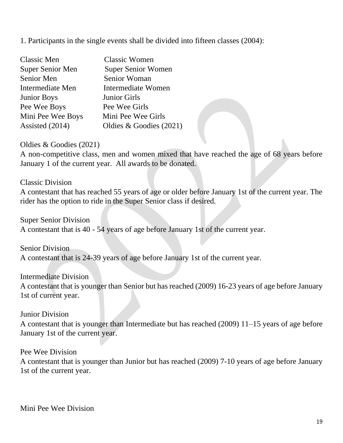1. Participants in the single events shall be divided into fifteen classes (2004):

| Classic Men             | <b>Classic Women</b>      |
|-------------------------|---------------------------|
| <b>Super Senior Men</b> | <b>Super Senior Women</b> |
| Senior Men              | Senior Woman              |
| Intermediate Men        | Intermediate Women        |
| <b>Junior Boys</b>      | <b>Junior Girls</b>       |
| Pee Wee Boys            | Pee Wee Girls             |
| Mini Pee Wee Boys       | Mini Pee Wee Girls        |
| Assisted (2014)         | Oldies & Goodies $(2021)$ |

Oldies & Goodies (2021)

A non-competitive class, men and women mixed that have reached the age of 68 years before January 1 of the current year. All awards to be donated.

Classic Division

A contestant that has reached 55 years of age or older before January 1st of the current year. The rider has the option to ride in the Super Senior class if desired.

Super Senior Division

A contestant that is 40 - 54 years of age before January 1st of the current year.

Senior Division

A contestant that is 24-39 years of age before January 1st of the current year.

Intermediate Division A contestant that is younger than Senior but has reached (2009) 16-23 years of age before January 1st of current year.

Junior Division

A contestant that is younger than Intermediate but has reached (2009) 11–15 years of age before January 1st of the current year.

Pee Wee Division

A contestant that is younger than Junior but has reached (2009) 7-10 years of age before January 1st of the current year.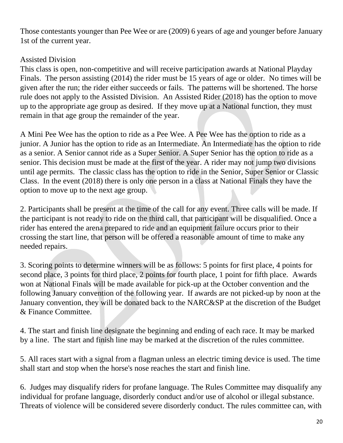Those contestants younger than Pee Wee or are (2009) 6 years of age and younger before January 1st of the current year.

## Assisted Division

This class is open, non-competitive and will receive participation awards at National Playday Finals. The person assisting (2014) the rider must be 15 years of age or older. No times will be given after the run; the rider either succeeds or fails. The patterns will be shortened. The horse rule does not apply to the Assisted Division. An Assisted Rider (2018) has the option to move up to the appropriate age group as desired. If they move up at a National function, they must remain in that age group the remainder of the year.

A Mini Pee Wee has the option to ride as a Pee Wee. A Pee Wee has the option to ride as a junior. A Junior has the option to ride as an Intermediate. An Intermediate has the option to ride as a senior. A Senior cannot ride as a Super Senior. A Super Senior has the option to ride as a senior. This decision must be made at the first of the year. A rider may not jump two divisions until age permits. The classic class has the option to ride in the Senior, Super Senior or Classic Class. In the event (2018) there is only one person in a class at National Finals they have the option to move up to the next age group.

2. Participants shall be present at the time of the call for any event. Three calls will be made. If the participant is not ready to ride on the third call, that participant will be disqualified. Once a rider has entered the arena prepared to ride and an equipment failure occurs prior to their crossing the start line, that person will be offered a reasonable amount of time to make any needed repairs.

3. Scoring points to determine winners will be as follows: 5 points for first place, 4 points for second place, 3 points for third place, 2 points for fourth place, 1 point for fifth place. Awards won at National Finals will be made available for pick-up at the October convention and the following January convention of the following year. If awards are not picked-up by noon at the January convention, they will be donated back to the NARC&SP at the discretion of the Budget & Finance Committee.

4. The start and finish line designate the beginning and ending of each race. It may be marked by a line. The start and finish line may be marked at the discretion of the rules committee.

5. All races start with a signal from a flagman unless an electric timing device is used. The time shall start and stop when the horse's nose reaches the start and finish line.

6. Judges may disqualify riders for profane language. The Rules Committee may disqualify any individual for profane language, disorderly conduct and/or use of alcohol or illegal substance. Threats of violence will be considered severe disorderly conduct. The rules committee can, with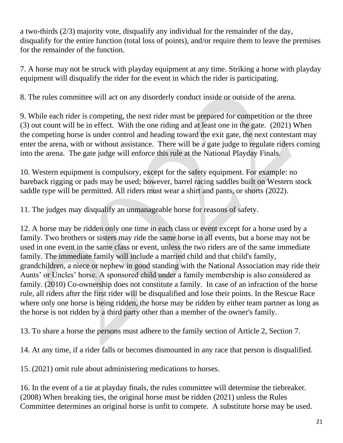a two-thirds (2/3) majority vote, disqualify any individual for the remainder of the day, disqualify for the entire function (total loss of points), and/or require them to leave the premises for the remainder of the function.

7. A horse may not be struck with playday equipment at any time. Striking a horse with playday equipment will disqualify the rider for the event in which the rider is participating.

8. The rules committee will act on any disorderly conduct inside or outside of the arena.

9. While each rider is competing, the next rider must be prepared for competition or the three (3) out count will be in effect. With the one riding and at least one in the gate. (2021) When the competing horse is under control and heading toward the exit gate, the next contestant may enter the arena, with or without assistance. There will be a gate judge to regulate riders coming into the arena. The gate judge will enforce this rule at the National Playday Finals.

10. Western equipment is compulsory, except for the safety equipment. For example: no bareback rigging or pads may be used; however, barrel racing saddles built on Western stock saddle type will be permitted. All riders must wear a shirt and pants, or shorts (2022).

11. The judges may disqualify an unmanageable horse for reasons of safety.

12. A horse may be ridden only one time in each class or event except for a horse used by a family. Two brothers or sisters may ride the same horse in all events, but a horse may not be used in one event in the same class or event, unless the two riders are of the same immediate family. The immediate family will include a married child and that child's family, grandchildren, a niece or nephew in good standing with the National Association may ride their Aunts' or Uncles' horse. A sponsored child under a family membership is also considered as family. (2010) Co-ownership does not constitute a family. In case of an infraction of the horse rule, all riders after the first rider will be disqualified and lose their points. In the Rescue Race where only one horse is being ridden, the horse may be ridden by either team partner as long as the horse is not ridden by a third party other than a member of the owner's family.

13. To share a horse the persons must adhere to the family section of Article 2, Section 7.

14. At any time, if a rider falls or becomes dismounted in any race that person is disqualified.

15. (2021) omit rule about administering medications to horses.

16. In the event of a tie at playday finals, the rules committee will determine the tiebreaker. (2008) When breaking ties, the original horse must be ridden (2021) unless the Rules Committee determines an original horse is unfit to compete. A substitute horse may be used.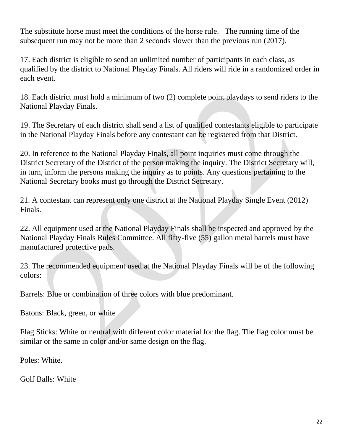The substitute horse must meet the conditions of the horse rule. The running time of the subsequent run may not be more than 2 seconds slower than the previous run (2017).

17. Each district is eligible to send an unlimited number of participants in each class, as qualified by the district to National Playday Finals. All riders will ride in a randomized order in each event.

18. Each district must hold a minimum of two (2) complete point playdays to send riders to the National Playday Finals.

19. The Secretary of each district shall send a list of qualified contestants eligible to participate in the National Playday Finals before any contestant can be registered from that District.

20. In reference to the National Playday Finals, all point inquiries must come through the District Secretary of the District of the person making the inquiry. The District Secretary will, in turn, inform the persons making the inquiry as to points. Any questions pertaining to the National Secretary books must go through the District Secretary.

21. A contestant can represent only one district at the National Playday Single Event (2012) Finals.

22. All equipment used at the National Playday Finals shall be inspected and approved by the National Playday Finals Rules Committee. All fifty-five (55) gallon metal barrels must have manufactured protective pads.

23. The recommended equipment used at the National Playday Finals will be of the following colors:

Barrels: Blue or combination of three colors with blue predominant.

Batons: Black, green, or white

Flag Sticks: White or neutral with different color material for the flag. The flag color must be similar or the same in color and/or same design on the flag.

Poles: White.

Golf Balls: White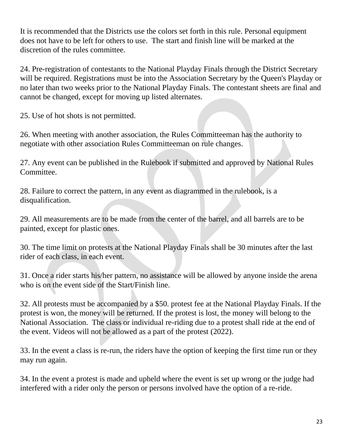It is recommended that the Districts use the colors set forth in this rule. Personal equipment does not have to be left for others to use. The start and finish line will be marked at the discretion of the rules committee.

24. Pre-registration of contestants to the National Playday Finals through the District Secretary will be required. Registrations must be into the Association Secretary by the Queen's Playday or no later than two weeks prior to the National Playday Finals. The contestant sheets are final and cannot be changed, except for moving up listed alternates.

25. Use of hot shots is not permitted.

26. When meeting with another association, the Rules Committeeman has the authority to negotiate with other association Rules Committeeman on rule changes.

27. Any event can be published in the Rulebook if submitted and approved by National Rules Committee.

28. Failure to correct the pattern, in any event as diagrammed in the rulebook, is a disqualification.

29. All measurements are to be made from the center of the barrel, and all barrels are to be painted, except for plastic ones.

30. The time limit on protests at the National Playday Finals shall be 30 minutes after the last rider of each class, in each event.

31. Once a rider starts his/her pattern, no assistance will be allowed by anyone inside the arena who is on the event side of the Start/Finish line.

32. All protests must be accompanied by a \$50. protest fee at the National Playday Finals. If the protest is won, the money will be returned. If the protest is lost, the money will belong to the National Association. The class or individual re-riding due to a protest shall ride at the end of the event. Videos will not be allowed as a part of the protest (2022).

33. In the event a class is re-run, the riders have the option of keeping the first time run or they may run again.

34. In the event a protest is made and upheld where the event is set up wrong or the judge had interfered with a rider only the person or persons involved have the option of a re-ride.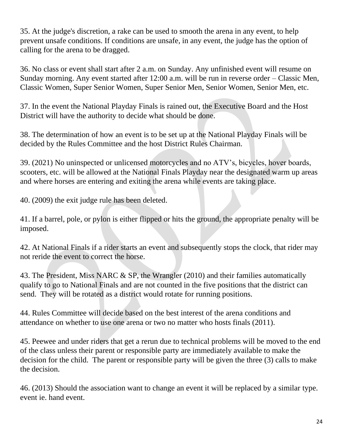35. At the judge's discretion, a rake can be used to smooth the arena in any event, to help prevent unsafe conditions. If conditions are unsafe, in any event, the judge has the option of calling for the arena to be dragged.

36. No class or event shall start after 2 a.m. on Sunday. Any unfinished event will resume on Sunday morning. Any event started after 12:00 a.m. will be run in reverse order – Classic Men, Classic Women, Super Senior Women, Super Senior Men, Senior Women, Senior Men, etc.

37. In the event the National Playday Finals is rained out, the Executive Board and the Host District will have the authority to decide what should be done.

38. The determination of how an event is to be set up at the National Playday Finals will be decided by the Rules Committee and the host District Rules Chairman.

39. (2021) No uninspected or unlicensed motorcycles and no ATV's, bicycles, hover boards, scooters, etc. will be allowed at the National Finals Playday near the designated warm up areas and where horses are entering and exiting the arena while events are taking place.

40. (2009) the exit judge rule has been deleted.

41. If a barrel, pole, or pylon is either flipped or hits the ground, the appropriate penalty will be imposed.

42. At National Finals if a rider starts an event and subsequently stops the clock, that rider may not reride the event to correct the horse.

43. The President, Miss NARC & SP, the Wrangler (2010) and their families automatically qualify to go to National Finals and are not counted in the five positions that the district can send. They will be rotated as a district would rotate for running positions.

44. Rules Committee will decide based on the best interest of the arena conditions and attendance on whether to use one arena or two no matter who hosts finals (2011).

45. Peewee and under riders that get a rerun due to technical problems will be moved to the end of the class unless their parent or responsible party are immediately available to make the decision for the child. The parent or responsible party will be given the three (3) calls to make the decision.

46. (2013) Should the association want to change an event it will be replaced by a similar type. event ie. hand event.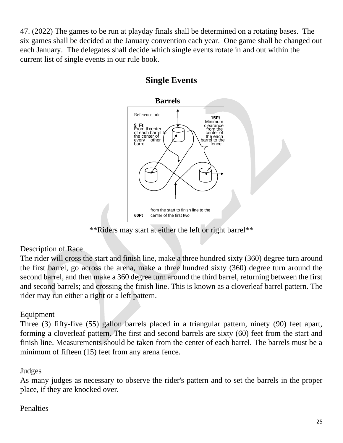47. (2022) The games to be run at playday finals shall be determined on a rotating bases. The six games shall be decided at the January convention each year. One game shall be changed out each January. The delegates shall decide which single events rotate in and out within the current list of single events in our rule book.



## **Single Events**

\*\*Riders may start at either the left or right barrel\*\*

## Description of Race

The rider will cross the start and finish line, make a three hundred sixty (360) degree turn around the first barrel, go across the arena, make a three hundred sixty (360) degree turn around the second barrel, and then make a 360 degree turn around the third barrel, returning between the first and second barrels; and crossing the finish line. This is known as a cloverleaf barrel pattern. The rider may run either a right or a left pattern.

## Equipment

Three (3) fifty-five (55) gallon barrels placed in a triangular pattern, ninety (90) feet apart, forming a cloverleaf pattern. The first and second barrels are sixty (60) feet from the start and finish line. Measurements should be taken from the center of each barrel. The barrels must be a minimum of fifteen (15) feet from any arena fence.

#### Judges

As many judges as necessary to observe the rider's pattern and to set the barrels in the proper place, if they are knocked over.

## Penalties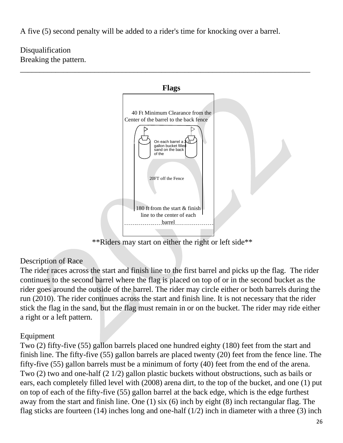A five (5) second penalty will be added to a rider's time for knocking over a barrel.

\_\_\_\_\_\_\_\_\_\_\_\_\_\_\_\_\_\_\_\_\_\_\_\_\_\_\_\_\_\_\_\_\_\_\_\_\_\_\_\_\_\_\_\_\_\_\_\_\_\_\_\_\_\_\_\_\_\_\_\_\_\_\_\_\_\_\_\_\_\_\_\_\_\_

Disqualification Breaking the pattern.



\*\*Riders may start on either the right or left side\*\*

#### Description of Race

The rider races across the start and finish line to the first barrel and picks up the flag. The rider continues to the second barrel where the flag is placed on top of or in the second bucket as the rider goes around the outside of the barrel. The rider may circle either or both barrels during the run (2010). The rider continues across the start and finish line. It is not necessary that the rider stick the flag in the sand, but the flag must remain in or on the bucket. The rider may ride either a right or a left pattern.

#### Equipment

Two (2) fifty-five (55) gallon barrels placed one hundred eighty (180) feet from the start and finish line. The fifty-five (55) gallon barrels are placed twenty (20) feet from the fence line. The fifty-five (55) gallon barrels must be a minimum of forty (40) feet from the end of the arena. Two (2) two and one-half (2 1/2) gallon plastic buckets without obstructions, such as bails or ears, each completely filled level with (2008) arena dirt, to the top of the bucket, and one (1) put on top of each of the fifty-five (55) gallon barrel at the back edge, which is the edge furthest away from the start and finish line. One (1) six (6) inch by eight (8) inch rectangular flag. The flag sticks are fourteen  $(14)$  inches long and one-half  $(1/2)$  inch in diameter with a three  $(3)$  inch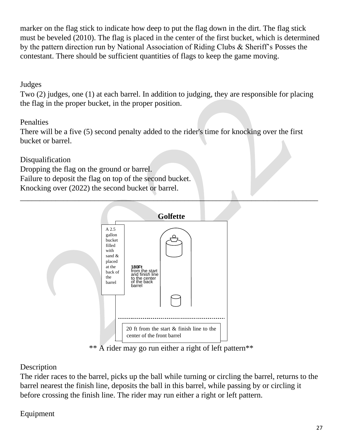marker on the flag stick to indicate how deep to put the flag down in the dirt. The flag stick must be beveled (2010). The flag is placed in the center of the first bucket, which is determined by the pattern direction run by National Association of Riding Clubs & Sheriff's Posses the contestant. There should be sufficient quantities of flags to keep the game moving.

## Judges

Two (2) judges, one (1) at each barrel. In addition to judging, they are responsible for placing the flag in the proper bucket, in the proper position.

## **Penalties**

There will be a five (5) second penalty added to the rider's time for knocking over the first bucket or barrel.

\_\_\_\_\_\_\_\_\_\_\_\_\_\_\_\_\_\_\_\_\_\_\_\_\_\_\_\_\_\_\_\_\_\_\_\_\_\_\_\_\_\_\_\_\_\_\_\_\_\_\_\_\_\_\_\_\_\_\_\_\_\_\_\_\_\_\_\_\_\_\_\_\_\_\_\_

**Disqualification** 

Dropping the flag on the ground or barrel.

Failure to deposit the flag on top of the second bucket.

Knocking over (2022) the second bucket or barrel.



\*\* A rider may go run either a right of left pattern\*\*

## Description

The rider races to the barrel, picks up the ball while turning or circling the barrel, returns to the barrel nearest the finish line, deposits the ball in this barrel, while passing by or circling it before crossing the finish line. The rider may run either a right or left pattern.

Equipment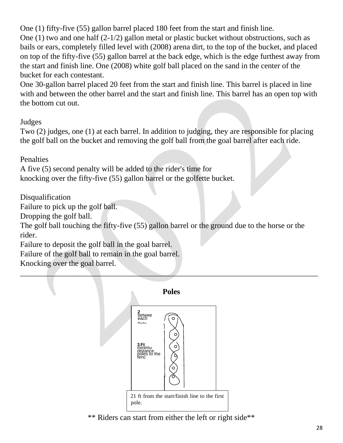One (1) fifty-five (55) gallon barrel placed 180 feet from the start and finish line. One (1) two and one half (2-1/2) gallon metal or plastic bucket without obstructions, such as bails or ears, completely filled level with (2008) arena dirt, to the top of the bucket, and placed on top of the fifty-five (55) gallon barrel at the back edge, which is the edge furthest away from the start and finish line. One (2008) white golf ball placed on the sand in the center of the bucket for each contestant.

One 30-gallon barrel placed 20 feet from the start and finish line. This barrel is placed in line with and between the other barrel and the start and finish line. This barrel has an open top with the bottom cut out.

Judges

Two (2) judges, one (1) at each barrel. In addition to judging, they are responsible for placing the golf ball on the bucket and removing the golf ball from the goal barrel after each ride.

**Penalties** 

A five (5) second penalty will be added to the rider's time for knocking over the fifty-five (55) gallon barrel or the golfette bucket.

Disqualification

Failure to pick up the golf ball.

Dropping the golf ball.

The golf ball touching the fifty-five (55) gallon barrel or the ground due to the horse or the rider.

Failure to deposit the golf ball in the goal barrel.

Failure of the golf ball to remain in the goal barrel.

Knocking over the goal barrel.



\*\* Riders can start from either the left or right side\*\*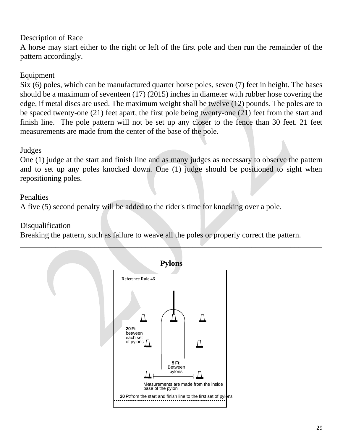### Description of Race

A horse may start either to the right or left of the first pole and then run the remainder of the pattern accordingly.

#### Equipment

Six (6) poles, which can be manufactured quarter horse poles, seven (7) feet in height. The bases should be a maximum of seventeen (17) (2015) inches in diameter with rubber hose covering the edge, if metal discs are used. The maximum weight shall be twelve (12) pounds. The poles are to be spaced twenty-one (21) feet apart, the first pole being twenty-one (21) feet from the start and finish line. The pole pattern will not be set up any closer to the fence than 30 feet. 21 feet measurements are made from the center of the base of the pole.

#### Judges

One (1) judge at the start and finish line and as many judges as necessary to observe the pattern and to set up any poles knocked down. One (1) judge should be positioned to sight when repositioning poles.

#### Penalties

A five (5) second penalty will be added to the rider's time for knocking over a pole.

## Disqualification

Breaking the pattern, such as failure to weave all the poles or properly correct the pattern.

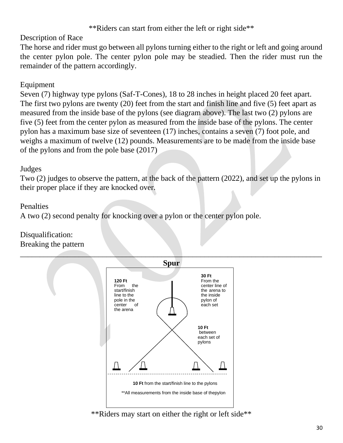#### \*\*Riders can start from either the left or right side\*\*

#### Description of Race

The horse and rider must go between all pylons turning either to the right or left and going around the center pylon pole. The center pylon pole may be steadied. Then the rider must run the remainder of the pattern accordingly.

## Equipment

Seven (7) highway type pylons (Saf-T-Cones), 18 to 28 inches in height placed 20 feet apart. The first two pylons are twenty (20) feet from the start and finish line and five (5) feet apart as measured from the inside base of the pylons (see diagram above). The last two (2) pylons are five (5) feet from the center pylon as measured from the inside base of the pylons. The center pylon has a maximum base size of seventeen (17) inches, contains a seven (7) foot pole, and weighs a maximum of twelve (12) pounds. Measurements are to be made from the inside base of the pylons and from the pole base (2017)

#### Judges

Two (2) judges to observe the pattern, at the back of the pattern (2022), and set up the pylons in their proper place if they are knocked over.

#### Penalties

A two (2) second penalty for knocking over a pylon or the center pylon pole.

#### Disqualification: Breaking the pattern



#### \*\*Riders may start on either the right or left side\*\*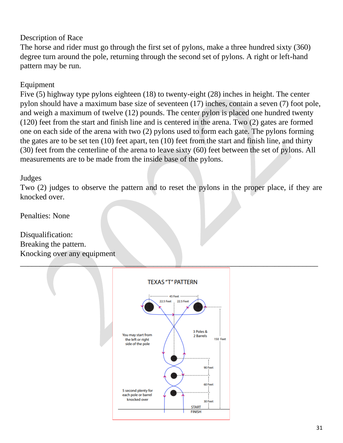## Description of Race

The horse and rider must go through the first set of pylons, make a three hundred sixty (360) degree turn around the pole, returning through the second set of pylons. A right or left-hand pattern may be run.

## Equipment

Five (5) highway type pylons eighteen (18) to twenty-eight (28) inches in height. The center pylon should have a maximum base size of seventeen (17) inches, contain a seven (7) foot pole, and weigh a maximum of twelve (12) pounds. The center pylon is placed one hundred twenty (120) feet from the start and finish line and is centered in the arena. Two (2) gates are formed one on each side of the arena with two (2) pylons used to form each gate. The pylons forming the gates are to be set ten (10) feet apart, ten (10) feet from the start and finish line, and thirty (30) feet from the centerline of the arena to leave sixty (60) feet between the set of pylons. All measurements are to be made from the inside base of the pylons.

#### Judges

Two (2) judges to observe the pattern and to reset the pylons in the proper place, if they are knocked over.

Penalties: None

Disqualification: Breaking the pattern. Knocking over any equipment

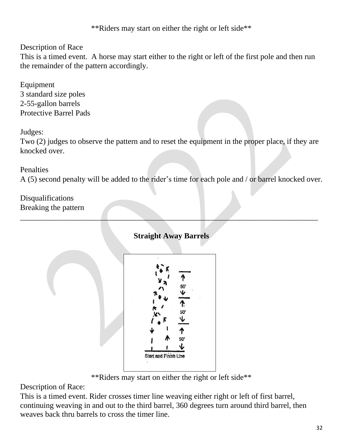\*\*Riders may start on either the right or left side\*\*

Description of Race

This is a timed event. A horse may start either to the right or left of the first pole and then run the remainder of the pattern accordingly.

Equipment 3 standard size poles 2-55-gallon barrels Protective Barrel Pads

Judges:

Two (2) judges to observe the pattern and to reset the equipment in the proper place, if they are knocked over.

## **Penalties**

A (5) second penalty will be added to the rider's time for each pole and / or barrel knocked over.

Disqualifications Breaking the pattern

## **Straight Away Barrels**

\_\_\_\_\_\_\_\_\_\_\_\_\_\_\_\_\_\_\_\_\_\_\_\_\_\_\_\_\_\_\_\_\_\_\_\_\_\_\_\_\_\_\_\_\_\_\_\_\_\_\_\_\_\_\_\_\_\_\_\_\_\_\_\_\_\_\_\_\_\_\_\_\_\_\_\_



\*\*Riders may start on either the right or left side\*\*

Description of Race:

This is a timed event. Rider crosses timer line weaving either right or left of first barrel, continuing weaving in and out to the third barrel, 360 degrees turn around third barrel, then weaves back thru barrels to cross the timer line.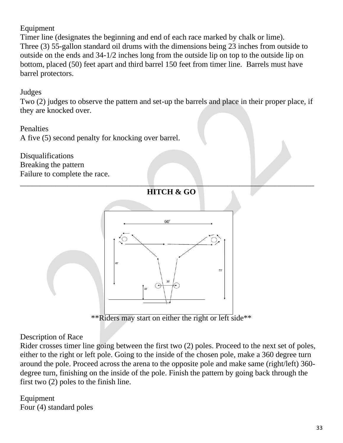#### Equipment

Timer line (designates the beginning and end of each race marked by chalk or lime). Three (3) 55-gallon standard oil drums with the dimensions being 23 inches from outside to outside on the ends and 34-1/2 inches long from the outside lip on top to the outside lip on bottom, placed (50) feet apart and third barrel 150 feet from timer line. Barrels must have barrel protectors.

#### Judges

Two (2) judges to observe the pattern and set-up the barrels and place in their proper place, if they are knocked over.

#### **Penalties**

A five (5) second penalty for knocking over barrel.

Disqualifications Breaking the pattern Failure to complete the race.



\*\*Riders may start on either the right or left side\*\*

#### Description of Race

Rider crosses timer line going between the first two (2) poles. Proceed to the next set of poles, either to the right or left pole. Going to the inside of the chosen pole, make a 360 degree turn around the pole. Proceed across the arena to the opposite pole and make same (right/left) 360 degree turn, finishing on the inside of the pole. Finish the pattern by going back through the first two (2) poles to the finish line.

Equipment Four (4) standard poles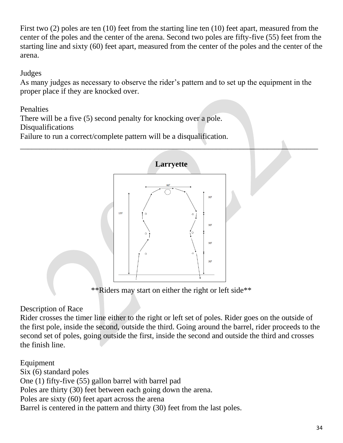First two (2) poles are ten (10) feet from the starting line ten (10) feet apart, measured from the center of the poles and the center of the arena. Second two poles are fifty-five (55) feet from the starting line and sixty (60) feet apart, measured from the center of the poles and the center of the arena.

#### Judges

As many judges as necessary to observe the rider's pattern and to set up the equipment in the proper place if they are knocked over.

## Penalties

There will be a five (5) second penalty for knocking over a pole.

#### Disqualifications

Failure to run a correct/complete pattern will be a disqualification.



\*\*Riders may start on either the right or left side\*\*

## Description of Race

Rider crosses the timer line either to the right or left set of poles. Rider goes on the outside of the first pole, inside the second, outside the third. Going around the barrel, rider proceeds to the second set of poles, going outside the first, inside the second and outside the third and crosses the finish line.

Equipment Six (6) standard poles One (1) fifty-five (55) gallon barrel with barrel pad Poles are thirty (30) feet between each going down the arena. Poles are sixty (60) feet apart across the arena Barrel is centered in the pattern and thirty (30) feet from the last poles.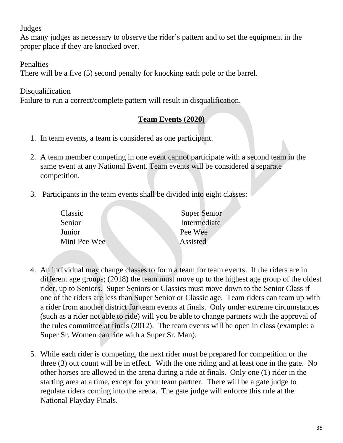Judges

As many judges as necessary to observe the rider's pattern and to set the equipment in the proper place if they are knocked over.

**Penalties** 

There will be a five (5) second penalty for knocking each pole or the barrel.

Disqualification

Failure to run a correct/complete pattern will result in disqualification.

## **Team Events (2020)**

- 1. In team events, a team is considered as one participant.
- 2. A team member competing in one event cannot participate with a second team in the same event at any National Event. Team events will be considered a separate competition.
- 3. Participants in the team events shall be divided into eight classes:

| Classic      | <b>Super Senior</b> |
|--------------|---------------------|
| Senior       | Intermediate        |
| Junior       | Pee Wee             |
| Mini Pee Wee | Assisted            |
|              |                     |

- 4. An individual may change classes to form a team for team events. If the riders are in different age groups; (2018) the team must move up to the highest age group of the oldest rider, up to Seniors. Super Seniors or Classics must move down to the Senior Class if one of the riders are less than Super Senior or Classic age. Team riders can team up with a rider from another district for team events at finals. Only under extreme circumstances (such as a rider not able to ride) will you be able to change partners with the approval of the rules committee at finals (2012). The team events will be open in class (example: a Super Sr. Women can ride with a Super Sr. Man).
- 5. While each rider is competing, the next rider must be prepared for competition or the three (3) out count will be in effect. With the one riding and at least one in the gate. No other horses are allowed in the arena during a ride at finals. Only one (1) rider in the starting area at a time, except for your team partner. There will be a gate judge to regulate riders coming into the arena. The gate judge will enforce this rule at the National Playday Finals.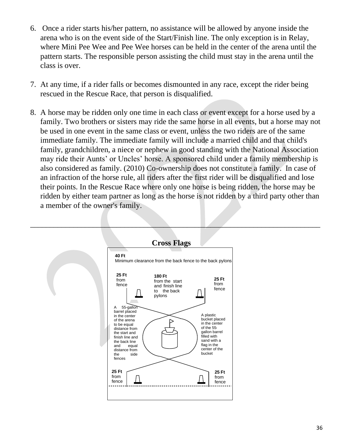- 6. Once a rider starts his/her pattern, no assistance will be allowed by anyone inside the arena who is on the event side of the Start/Finish line. The only exception is in Relay, where Mini Pee Wee and Pee Wee horses can be held in the center of the arena until the pattern starts. The responsible person assisting the child must stay in the arena until the class is over.
- 7. At any time, if a rider falls or becomes dismounted in any race, except the rider being rescued in the Rescue Race, that person is disqualified.
- 8. A horse may be ridden only one time in each class or event except for a horse used by a family. Two brothers or sisters may ride the same horse in all events, but a horse may not be used in one event in the same class or event, unless the two riders are of the same immediate family. The immediate family will include a married child and that child's family, grandchildren, a niece or nephew in good standing with the National Association may ride their Aunts' or Uncles' horse. A sponsored child under a family membership is also considered as family. (2010) Co-ownership does not constitute a family. In case of an infraction of the horse rule, all riders after the first rider will be disqualified and lose their points. In the Rescue Race where only one horse is being ridden, the horse may be ridden by either team partner as long as the horse is not ridden by a third party other than a member of the owner's family.

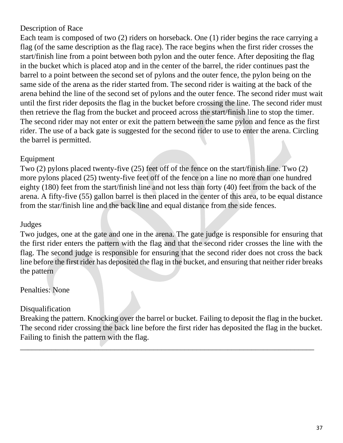## Description of Race

Each team is composed of two (2) riders on horseback. One (1) rider begins the race carrying a flag (of the same description as the flag race). The race begins when the first rider crosses the start/finish line from a point between both pylon and the outer fence. After depositing the flag in the bucket which is placed atop and in the center of the barrel, the rider continues past the barrel to a point between the second set of pylons and the outer fence, the pylon being on the same side of the arena as the rider started from. The second rider is waiting at the back of the arena behind the line of the second set of pylons and the outer fence. The second rider must wait until the first rider deposits the flag in the bucket before crossing the line. The second rider must then retrieve the flag from the bucket and proceed across the start/finish line to stop the timer. The second rider may not enter or exit the pattern between the same pylon and fence as the first rider. The use of a back gate is suggested for the second rider to use to enter the arena. Circling the barrel is permitted.

#### Equipment

Two (2) pylons placed twenty-five (25) feet off of the fence on the start/finish line. Two (2) more pylons placed (25) twenty-five feet off of the fence on a line no more than one hundred eighty (180) feet from the start/finish line and not less than forty (40) feet from the back of the arena. A fifty-five (55) gallon barrel is then placed in the center of this area, to be equal distance from the star/finish line and the back line and equal distance from the side fences.

#### Judges

Two judges, one at the gate and one in the arena. The gate judge is responsible for ensuring that the first rider enters the pattern with the flag and that the second rider crosses the line with the flag. The second judge is responsible for ensuring that the second rider does not cross the back line before the first rider has deposited the flag in the bucket, and ensuring that neither rider breaks the pattern

#### Penalties: None

## Disqualification

Breaking the pattern. Knocking over the barrel or bucket. Failing to deposit the flag in the bucket. The second rider crossing the back line before the first rider has deposited the flag in the bucket. Failing to finish the pattern with the flag.

\_\_\_\_\_\_\_\_\_\_\_\_\_\_\_\_\_\_\_\_\_\_\_\_\_\_\_\_\_\_\_\_\_\_\_\_\_\_\_\_\_\_\_\_\_\_\_\_\_\_\_\_\_\_\_\_\_\_\_\_\_\_\_\_\_\_\_\_\_\_\_\_\_\_\_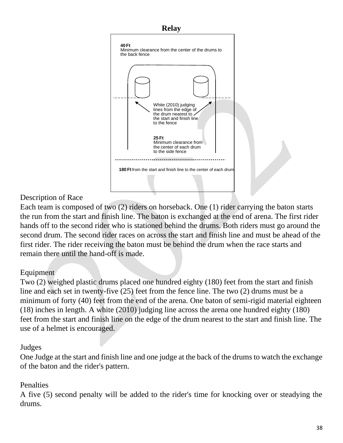

## Description of Race

Each team is composed of two (2) riders on horseback. One (1) rider carrying the baton starts the run from the start and finish line. The baton is exchanged at the end of arena. The first rider hands off to the second rider who is stationed behind the drums. Both riders must go around the second drum. The second rider races on across the start and finish line and must be ahead of the first rider. The rider receiving the baton must be behind the drum when the race starts and remain there until the hand-off is made.

## Equipment

Two (2) weighed plastic drums placed one hundred eighty (180) feet from the start and finish line and each set in twenty-five (25) feet from the fence line. The two (2) drums must be a minimum of forty (40) feet from the end of the arena. One baton of semi-rigid material eighteen (18) inches in length. A white (2010) judging line across the arena one hundred eighty (180) feet from the start and finish line on the edge of the drum nearest to the start and finish line. The use of a helmet is encouraged.

#### Judges

One Judge at the start and finish line and one judge at the back of the drums to watch the exchange of the baton and the rider's pattern.

## Penalties

A five (5) second penalty will be added to the rider's time for knocking over or steadying the drums.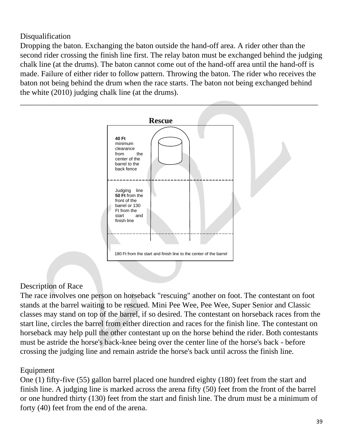Disqualification

Dropping the baton. Exchanging the baton outside the hand-off area. A rider other than the second rider crossing the finish line first. The relay baton must be exchanged behind the judging chalk line (at the drums). The baton cannot come out of the hand-off area until the hand-off is made. Failure of either rider to follow pattern. Throwing the baton. The rider who receives the baton not being behind the drum when the race starts. The baton not being exchanged behind the white (2010) judging chalk line (at the drums).



#### Description of Race

The race involves one person on horseback "rescuing" another on foot. The contestant on foot stands at the barrel waiting to be rescued. Mini Pee Wee, Pee Wee, Super Senior and Classic classes may stand on top of the barrel, if so desired. The contestant on horseback races from the start line, circles the barrel from either direction and races for the finish line. The contestant on horseback may help pull the other contestant up on the horse behind the rider. Both contestants must be astride the horse's back-knee being over the center line of the horse's back - before crossing the judging line and remain astride the horse's back until across the finish line.

#### Equipment

One (1) fifty-five (55) gallon barrel placed one hundred eighty (180) feet from the start and finish line. A judging line is marked across the arena fifty (50) feet from the front of the barrel or one hundred thirty (130) feet from the start and finish line. The drum must be a minimum of forty (40) feet from the end of the arena.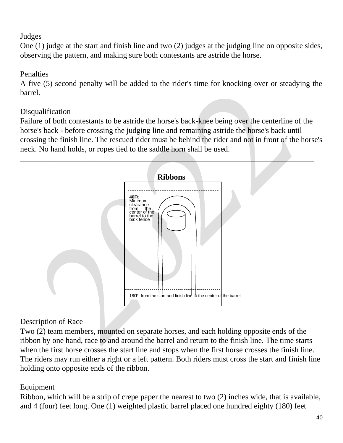## Judges

One (1) judge at the start and finish line and two (2) judges at the judging line on opposite sides, observing the pattern, and making sure both contestants are astride the horse.

## **Penalties**

A five (5) second penalty will be added to the rider's time for knocking over or steadying the barrel.

## Disqualification

Failure of both contestants to be astride the horse's back-knee being over the centerline of the horse's back - before crossing the judging line and remaining astride the horse's back until crossing the finish line. The rescued rider must be behind the rider and not in front of the horse's neck. No hand holds, or ropes tied to the saddle horn shall be used.



## Description of Race

Two (2) team members, mounted on separate horses, and each holding opposite ends of the ribbon by one hand, race to and around the barrel and return to the finish line. The time starts when the first horse crosses the start line and stops when the first horse crosses the finish line. The riders may run either a right or a left pattern. Both riders must cross the start and finish line holding onto opposite ends of the ribbon.

## Equipment

Ribbon, which will be a strip of crepe paper the nearest to two (2) inches wide, that is available, and 4 (four) feet long. One (1) weighted plastic barrel placed one hundred eighty (180) feet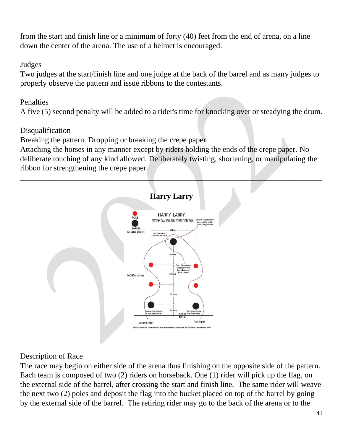from the start and finish line or a minimum of forty (40) feet from the end of arena, on a line down the center of the arena. The use of a helmet is encouraged.

#### Judges

Two judges at the start/finish line and one judge at the back of the barrel and as many judges to properly observe the pattern and issue ribbons to the contestants.

## Penalties

A five (5) second penalty will be added to a rider's time for knocking over or steadying the drum.

## Disqualification

Breaking the pattern. Dropping or breaking the crepe paper.

Attaching the horses in any manner except by riders holding the ends of the crepe paper. No deliberate touching of any kind allowed. Deliberately twisting, shortening, or manipulating the ribbon for strengthening the crepe paper.



## Description of Race

The race may begin on either side of the arena thus finishing on the opposite side of the pattern. Each team is composed of two (2) riders on horseback. One (1) rider will pick up the flag, on the external side of the barrel, after crossing the start and finish line. The same rider will weave the next two (2) poles and deposit the flag into the bucket placed on top of the barrel by going by the external side of the barrel. The retiring rider may go to the back of the arena or to the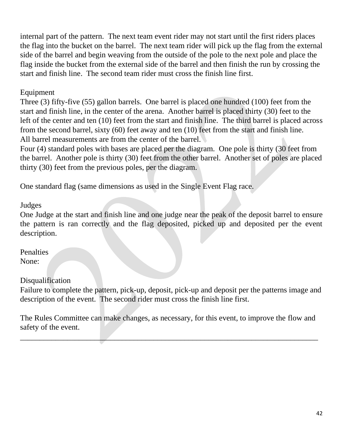internal part of the pattern. The next team event rider may not start until the first riders places the flag into the bucket on the barrel. The next team rider will pick up the flag from the external side of the barrel and begin weaving from the outside of the pole to the next pole and place the flag inside the bucket from the external side of the barrel and then finish the run by crossing the start and finish line. The second team rider must cross the finish line first.

#### Equipment

Three (3) fifty-five (55) gallon barrels. One barrel is placed one hundred (100) feet from the start and finish line, in the center of the arena. Another barrel is placed thirty (30) feet to the left of the center and ten (10) feet from the start and finish line. The third barrel is placed across from the second barrel, sixty (60) feet away and ten (10) feet from the start and finish line. All barrel measurements are from the center of the barrel.

Four (4) standard poles with bases are placed per the diagram. One pole is thirty (30 feet from the barrel. Another pole is thirty (30) feet from the other barrel. Another set of poles are placed thirty (30) feet from the previous poles, per the diagram.

One standard flag (same dimensions as used in the Single Event Flag race.

Judges

One Judge at the start and finish line and one judge near the peak of the deposit barrel to ensure the pattern is ran correctly and the flag deposited, picked up and deposited per the event description.

Penalties None:

#### Disqualification

Failure to complete the pattern, pick-up, deposit, pick-up and deposit per the patterns image and description of the event. The second rider must cross the finish line first.

The Rules Committee can make changes, as necessary, for this event, to improve the flow and safety of the event.

\_\_\_\_\_\_\_\_\_\_\_\_\_\_\_\_\_\_\_\_\_\_\_\_\_\_\_\_\_\_\_\_\_\_\_\_\_\_\_\_\_\_\_\_\_\_\_\_\_\_\_\_\_\_\_\_\_\_\_\_\_\_\_\_\_\_\_\_\_\_\_\_\_\_\_\_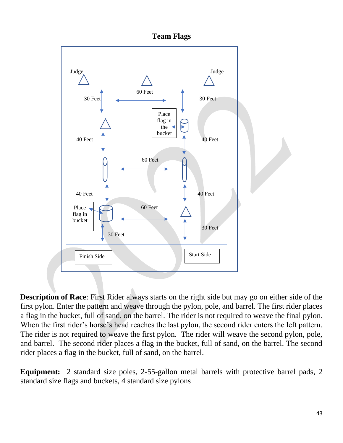

**Description of Race**: First Rider always starts on the right side but may go on either side of the first pylon. Enter the pattern and weave through the pylon, pole, and barrel. The first rider places a flag in the bucket, full of sand, on the barrel. The rider is not required to weave the final pylon. When the first rider's horse's head reaches the last pylon, the second rider enters the left pattern. The rider is not required to weave the first pylon. The rider will weave the second pylon, pole, and barrel. The second rider places a flag in the bucket, full of sand, on the barrel. The second rider places a flag in the bucket, full of sand, on the barrel.

**Equipment:** 2 standard size poles, 2-55-gallon metal barrels with protective barrel pads, 2 standard size flags and buckets, 4 standard size pylons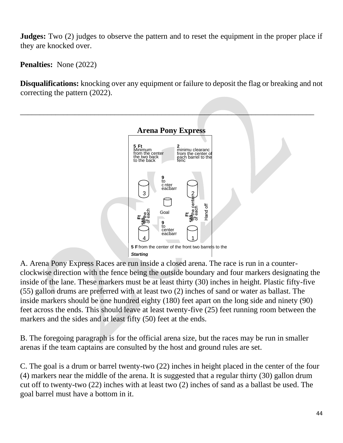**Judges:** Two (2) judges to observe the pattern and to reset the equipment in the proper place if they are knocked over.

**Penalties:** None (2022)

**Disqualifications:** knocking over any equipment or failure to deposit the flag or breaking and not correcting the pattern (2022).



A. Arena Pony Express Races are run inside a closed arena. The race is run in a counter-*Area* clockwise direction with the fence being the outside boundary and four markers designating the inside of the lane. These markers must be at least thirty (30) inches in height. Plastic fifty-five (55) gallon drums are preferred with at least two (2) inches of sand or water as ballast. The inside markers should be one hundred eighty (180) feet apart on the long side and ninety (90) feet across the ends. This should leave at least twenty-five (25) feet running room between the markers and the sides and at least fifty (50) feet at the ends.

B. The foregoing paragraph is for the official arena size, but the races may be run in smaller arenas if the team captains are consulted by the host and ground rules are set.

C. The goal is a drum or barrel twenty-two (22) inches in height placed in the center of the four (4) markers near the middle of the arena. It is suggested that a regular thirty (30) gallon drum cut off to twenty-two (22) inches with at least two (2) inches of sand as a ballast be used. The goal barrel must have a bottom in it.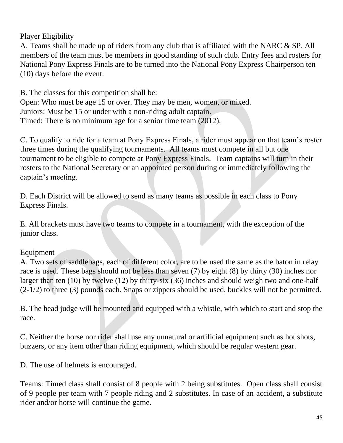## Player Eligibility

A. Teams shall be made up of riders from any club that is affiliated with the NARC & SP. All members of the team must be members in good standing of such club. Entry fees and rosters for National Pony Express Finals are to be turned into the National Pony Express Chairperson ten (10) days before the event.

B. The classes for this competition shall be: Open: Who must be age 15 or over. They may be men, women, or mixed. Juniors: Must be 15 or under with a non-riding adult captain. Timed: There is no minimum age for a senior time team (2012).

C. To qualify to ride for a team at Pony Express Finals, a rider must appear on that team's roster three times during the qualifying tournaments. All teams must compete in all but one tournament to be eligible to compete at Pony Express Finals. Team captains will turn in their rosters to the National Secretary or an appointed person during or immediately following the captain's meeting.

D. Each District will be allowed to send as many teams as possible in each class to Pony Express Finals.

E. All brackets must have two teams to compete in a tournament, with the exception of the junior class.

## Equipment

A. Two sets of saddlebags, each of different color, are to be used the same as the baton in relay race is used. These bags should not be less than seven (7) by eight (8) by thirty (30) inches nor larger than ten (10) by twelve (12) by thirty-six (36) inches and should weigh two and one-half (2-1/2) to three (3) pounds each. Snaps or zippers should be used, buckles will not be permitted.

B. The head judge will be mounted and equipped with a whistle, with which to start and stop the race.

C. Neither the horse nor rider shall use any unnatural or artificial equipment such as hot shots, buzzers, or any item other than riding equipment, which should be regular western gear.

D. The use of helmets is encouraged.

Teams: Timed class shall consist of 8 people with 2 being substitutes. Open class shall consist of 9 people per team with 7 people riding and 2 substitutes. In case of an accident, a substitute rider and/or horse will continue the game.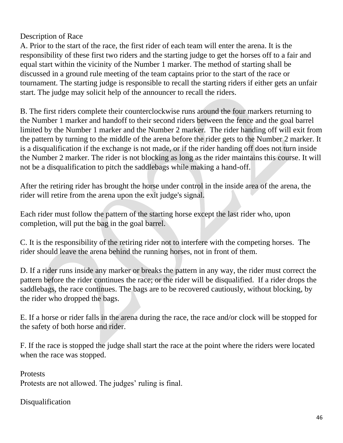Description of Race

A. Prior to the start of the race, the first rider of each team will enter the arena. It is the responsibility of these first two riders and the starting judge to get the horses off to a fair and equal start within the vicinity of the Number 1 marker. The method of starting shall be discussed in a ground rule meeting of the team captains prior to the start of the race or tournament. The starting judge is responsible to recall the starting riders if either gets an unfair start. The judge may solicit help of the announcer to recall the riders.

B. The first riders complete their counterclockwise runs around the four markers returning to the Number 1 marker and handoff to their second riders between the fence and the goal barrel limited by the Number 1 marker and the Number 2 marker. The rider handing off will exit from the pattern by turning to the middle of the arena before the rider gets to the Number 2 marker. It is a disqualification if the exchange is not made, or if the rider handing off does not turn inside the Number 2 marker. The rider is not blocking as long as the rider maintains this course. It will not be a disqualification to pitch the saddlebags while making a hand-off.

After the retiring rider has brought the horse under control in the inside area of the arena, the rider will retire from the arena upon the exit judge's signal.

Each rider must follow the pattern of the starting horse except the last rider who, upon completion, will put the bag in the goal barrel.

C. It is the responsibility of the retiring rider not to interfere with the competing horses. The rider should leave the arena behind the running horses, not in front of them.

D. If a rider runs inside any marker or breaks the pattern in any way, the rider must correct the pattern before the rider continues the race; or the rider will be disqualified. If a rider drops the saddlebags, the race continues. The bags are to be recovered cautiously, without blocking, by the rider who dropped the bags.

E. If a horse or rider falls in the arena during the race, the race and/or clock will be stopped for the safety of both horse and rider.

F. If the race is stopped the judge shall start the race at the point where the riders were located when the race was stopped.

**Protests** Protests are not allowed. The judges' ruling is final.

Disqualification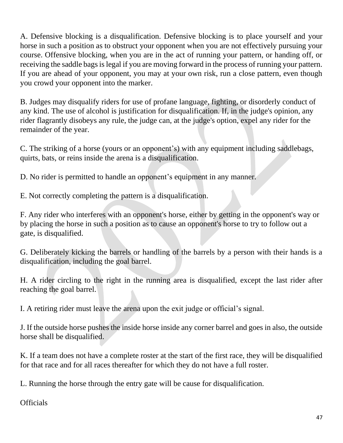A. Defensive blocking is a disqualification. Defensive blocking is to place yourself and your horse in such a position as to obstruct your opponent when you are not effectively pursuing your course. Offensive blocking, when you are in the act of running your pattern, or handing off, or receiving the saddle bags is legal if you are moving forward in the process of running your pattern. If you are ahead of your opponent, you may at your own risk, run a close pattern, even though you crowd your opponent into the marker.

B. Judges may disqualify riders for use of profane language, fighting, or disorderly conduct of any kind. The use of alcohol is justification for disqualification. If, in the judge's opinion, any rider flagrantly disobeys any rule, the judge can, at the judge's option, expel any rider for the remainder of the year.

C. The striking of a horse (yours or an opponent's) with any equipment including saddlebags, quirts, bats, or reins inside the arena is a disqualification.

D. No rider is permitted to handle an opponent's equipment in any manner.

E. Not correctly completing the pattern is a disqualification.

F. Any rider who interferes with an opponent's horse, either by getting in the opponent's way or by placing the horse in such a position as to cause an opponent's horse to try to follow out a gate, is disqualified.

G. Deliberately kicking the barrels or handling of the barrels by a person with their hands is a disqualification, including the goal barrel.

H. A rider circling to the right in the running area is disqualified, except the last rider after reaching the goal barrel.

I. A retiring rider must leave the arena upon the exit judge or official's signal.

J. If the outside horse pushes the inside horse inside any corner barrel and goes in also, the outside horse shall be disqualified.

K. If a team does not have a complete roster at the start of the first race, they will be disqualified for that race and for all races thereafter for which they do not have a full roster.

L. Running the horse through the entry gate will be cause for disqualification.

**Officials**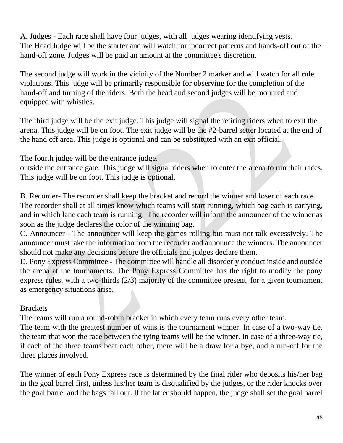A. Judges - Each race shall have four judges, with all judges wearing identifying vests. The Head Judge will be the starter and will watch for incorrect patterns and hands-off out of the hand-off zone. Judges will be paid an amount at the committee's discretion.

The second judge will work in the vicinity of the Number 2 marker and will watch for all rule violations. This judge will be primarily responsible for observing for the completion of the hand-off and turning of the riders. Both the head and second judges will be mounted and equipped with whistles.

The third judge will be the exit judge. This judge will signal the retiring riders when to exit the arena. This judge will be on foot. The exit judge will be the #2-barrel setter located at the end of the hand off area. This judge is optional and can be substituted with an exit official.

The fourth judge will be the entrance judge.

outside the entrance gate. This judge will signal riders when to enter the arena to run their races. This judge will be on foot. This judge is optional.

B. Recorder- The recorder shall keep the bracket and record the winner and loser of each race. The recorder shall at all times know which teams will start running, which bag each is carrying, and in which lane each team is running. The recorder will inform the announcer of the winner as soon as the judge declares the color of the winning bag.

C. Announcer - The announcer will keep the games rolling but must not talk excessively. The announcer must take the information from the recorder and announce the winners. The announcer should not make any decisions before the officials and judges declare them.

D. Pony Express Committee - The committee will handle all disorderly conduct inside and outside the arena at the tournaments. The Pony Express Committee has the right to modify the pony express rules, with a two-thirds (2/3) majority of the committee present, for a given tournament as emergency situations arise.

#### **Brackets**

The teams will run a round-robin bracket in which every team runs every other team.

The team with the greatest number of wins is the tournament winner. In case of a two-way tie, the team that won the race between the tying teams will be the winner. In case of a three-way tie, if each of the three teams beat each other, there will be a draw for a bye, and a run-off for the three places involved.

The winner of each Pony Express race is determined by the final rider who deposits his/her bag in the goal barrel first, unless his/her team is disqualified by the judges, or the rider knocks over the goal barrel and the bags fall out. If the latter should happen, the judge shall set the goal barrel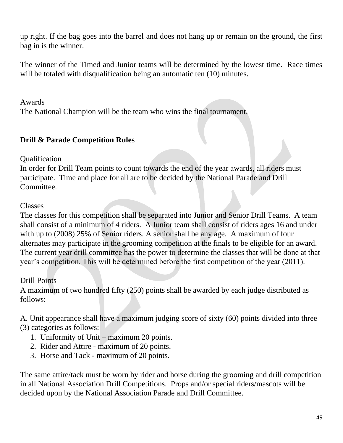up right. If the bag goes into the barrel and does not hang up or remain on the ground, the first bag in is the winner.

The winner of the Timed and Junior teams will be determined by the lowest time. Race times will be totaled with disqualification being an automatic ten (10) minutes.

Awards

The National Champion will be the team who wins the final tournament.

## **Drill & Parade Competition Rules**

Qualification

In order for Drill Team points to count towards the end of the year awards, all riders must participate. Time and place for all are to be decided by the National Parade and Drill Committee.

#### Classes

The classes for this competition shall be separated into Junior and Senior Drill Teams. A team shall consist of a minimum of 4 riders. A Junior team shall consist of riders ages 16 and under with up to (2008) 25% of Senior riders. A senior shall be any age. A maximum of four alternates may participate in the grooming competition at the finals to be eligible for an award. The current year drill committee has the power to determine the classes that will be done at that year's competition. This will be determined before the first competition of the year (2011).

## Drill Points

A maximum of two hundred fifty (250) points shall be awarded by each judge distributed as follows:

A. Unit appearance shall have a maximum judging score of sixty (60) points divided into three (3) categories as follows:

- 1. Uniformity of Unit maximum 20 points.
- 2. Rider and Attire maximum of 20 points.
- 3. Horse and Tack maximum of 20 points.

The same attire/tack must be worn by rider and horse during the grooming and drill competition in all National Association Drill Competitions. Props and/or special riders/mascots will be decided upon by the National Association Parade and Drill Committee.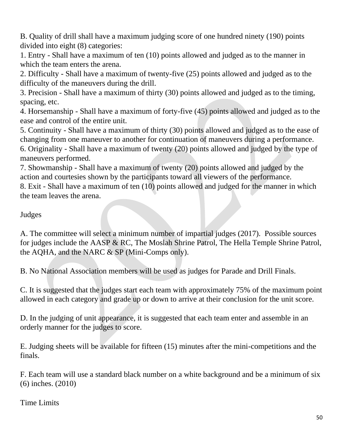B. Quality of drill shall have a maximum judging score of one hundred ninety (190) points divided into eight (8) categories:

1. Entry - Shall have a maximum of ten (10) points allowed and judged as to the manner in which the team enters the arena.

2. Difficulty - Shall have a maximum of twenty-five (25) points allowed and judged as to the difficulty of the maneuvers during the drill.

3. Precision - Shall have a maximum of thirty (30) points allowed and judged as to the timing, spacing, etc.

4. Horsemanship - Shall have a maximum of forty-five (45) points allowed and judged as to the ease and control of the entire unit.

5. Continuity - Shall have a maximum of thirty (30) points allowed and judged as to the ease of changing from one maneuver to another for continuation of maneuvers during a performance.

6. Originality - Shall have a maximum of twenty (20) points allowed and judged by the type of maneuvers performed.

7. Showmanship - Shall have a maximum of twenty (20) points allowed and judged by the action and courtesies shown by the participants toward all viewers of the performance.

8. Exit - Shall have a maximum of ten (10) points allowed and judged for the manner in which the team leaves the arena.

#### Judges

A. The committee will select a minimum number of impartial judges (2017). Possible sources for judges include the AASP & RC, The Moslah Shrine Patrol, The Hella Temple Shrine Patrol, the AQHA, and the NARC & SP (Mini-Comps only).

B. No National Association members will be used as judges for Parade and Drill Finals.

C. It is suggested that the judges start each team with approximately 75% of the maximum point allowed in each category and grade up or down to arrive at their conclusion for the unit score.

D. In the judging of unit appearance, it is suggested that each team enter and assemble in an orderly manner for the judges to score.

E. Judging sheets will be available for fifteen (15) minutes after the mini-competitions and the finals.

F. Each team will use a standard black number on a white background and be a minimum of six (6) inches. (2010)

Time Limits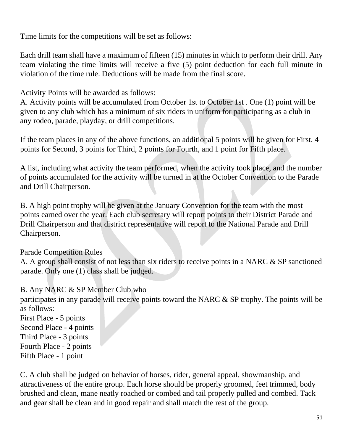Time limits for the competitions will be set as follows:

Each drill team shall have a maximum of fifteen (15) minutes in which to perform their drill. Any team violating the time limits will receive a five (5) point deduction for each full minute in violation of the time rule. Deductions will be made from the final score.

Activity Points will be awarded as follows:

A. Activity points will be accumulated from October 1st to October 1st . One (1) point will be given to any club which has a minimum of six riders in uniform for participating as a club in any rodeo, parade, playday, or drill competitions.

If the team places in any of the above functions, an additional 5 points will be given for First, 4 points for Second, 3 points for Third, 2 points for Fourth, and 1 point for Fifth place.

A list, including what activity the team performed, when the activity took place, and the number of points accumulated for the activity will be turned in at the October Convention to the Parade and Drill Chairperson.

B. A high point trophy will be given at the January Convention for the team with the most points earned over the year. Each club secretary will report points to their District Parade and Drill Chairperson and that district representative will report to the National Parade and Drill Chairperson.

## Parade Competition Rules

A. A group shall consist of not less than six riders to receive points in a NARC & SP sanctioned parade. Only one (1) class shall be judged.

## B. Any NARC & SP Member Club who

participates in any parade will receive points toward the NARC & SP trophy. The points will be as follows:

First Place - 5 points Second Place - 4 points Third Place - 3 points Fourth Place - 2 points Fifth Place - 1 point

C. A club shall be judged on behavior of horses, rider, general appeal, showmanship, and attractiveness of the entire group. Each horse should be properly groomed, feet trimmed, body brushed and clean, mane neatly roached or combed and tail properly pulled and combed. Tack and gear shall be clean and in good repair and shall match the rest of the group.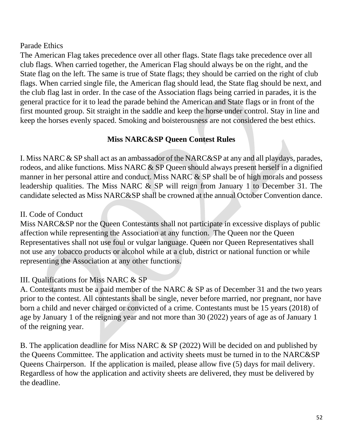#### Parade Ethics

The American Flag takes precedence over all other flags. State flags take precedence over all club flags. When carried together, the American Flag should always be on the right, and the State flag on the left. The same is true of State flags; they should be carried on the right of club flags. When carried single file, the American flag should lead, the State flag should be next, and the club flag last in order. In the case of the Association flags being carried in parades, it is the general practice for it to lead the parade behind the American and State flags or in front of the first mounted group. Sit straight in the saddle and keep the horse under control. Stay in line and keep the horses evenly spaced. Smoking and boisterousness are not considered the best ethics.

#### **Miss NARC&SP Queen Contest Rules**

I. Miss NARC & SP shall act as an ambassador of the NARC&SP at any and all playdays, parades, rodeos, and alike functions. Miss NARC & SP Queen should always present herself in a dignified manner in her personal attire and conduct. Miss NARC & SP shall be of high morals and possess leadership qualities. The Miss NARC & SP will reign from January 1 to December 31. The candidate selected as Miss NARC&SP shall be crowned at the annual October Convention dance.

#### II. Code of Conduct

Miss NARC&SP nor the Queen Contestants shall not participate in excessive displays of public affection while representing the Association at any function. The Queen nor the Queen Representatives shall not use foul or vulgar language. Queen nor Queen Representatives shall not use any tobacco products or alcohol while at a club, district or national function or while representing the Association at any other functions.

## III. Qualifications for Miss NARC & SP

A. Contestants must be a paid member of the NARC & SP as of December 31 and the two years prior to the contest. All contestants shall be single, never before married, nor pregnant, nor have born a child and never charged or convicted of a crime. Contestants must be 15 years (2018) of age by January 1 of the reigning year and not more than 30 (2022) years of age as of January 1 of the reigning year.

B. The application deadline for Miss NARC & SP (2022) Will be decided on and published by the Queens Committee. The application and activity sheets must be turned in to the NARC&SP Queens Chairperson. If the application is mailed, please allow five (5) days for mail delivery. Regardless of how the application and activity sheets are delivered, they must be delivered by the deadline.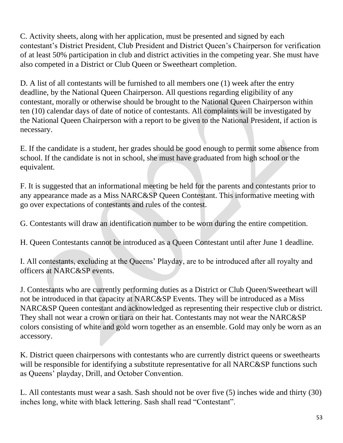C. Activity sheets, along with her application, must be presented and signed by each contestant's District President, Club President and District Queen's Chairperson for verification of at least 50% participation in club and district activities in the competing year. She must have also competed in a District or Club Queen or Sweetheart completion.

D. A list of all contestants will be furnished to all members one (1) week after the entry deadline, by the National Queen Chairperson. All questions regarding eligibility of any contestant, morally or otherwise should be brought to the National Queen Chairperson within ten (10) calendar days of date of notice of contestants. All complaints will be investigated by the National Queen Chairperson with a report to be given to the National President, if action is necessary.

E. If the candidate is a student, her grades should be good enough to permit some absence from school. If the candidate is not in school, she must have graduated from high school or the equivalent.

F. It is suggested that an informational meeting be held for the parents and contestants prior to any appearance made as a Miss NARC&SP Queen Contestant. This informative meeting with go over expectations of contestants and rules of the contest.

G. Contestants will draw an identification number to be worn during the entire competition.

H. Queen Contestants cannot be introduced as a Queen Contestant until after June 1 deadline.

I. All contestants, excluding at the Queens' Playday, are to be introduced after all royalty and officers at NARC&SP events.

J. Contestants who are currently performing duties as a District or Club Queen/Sweetheart will not be introduced in that capacity at NARC&SP Events. They will be introduced as a Miss NARC&SP Queen contestant and acknowledged as representing their respective club or district. They shall not wear a crown or tiara on their hat. Contestants may not wear the NARC&SP colors consisting of white and gold worn together as an ensemble. Gold may only be worn as an accessory.

K. District queen chairpersons with contestants who are currently district queens or sweethearts will be responsible for identifying a substitute representative for all NARC&SP functions such as Queens' playday, Drill, and October Convention.

L. All contestants must wear a sash. Sash should not be over five (5) inches wide and thirty (30) inches long, white with black lettering. Sash shall read "Contestant".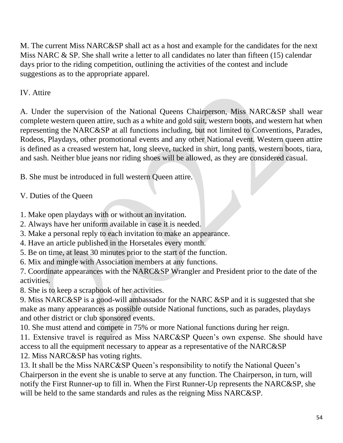M. The current Miss NARC&SP shall act as a host and example for the candidates for the next Miss NARC & SP. She shall write a letter to all candidates no later than fifteen (15) calendar days prior to the riding competition, outlining the activities of the contest and include suggestions as to the appropriate apparel.

### IV. Attire

A. Under the supervision of the National Queens Chairperson, Miss NARC&SP shall wear complete western queen attire, such as a white and gold suit, western boots, and western hat when representing the NARC&SP at all functions including, but not limited to Conventions, Parades, Rodeos, Playdays, other promotional events and any other National event. Western queen attire is defined as a creased western hat, long sleeve, tucked in shirt, long pants, western boots, tiara, and sash. Neither blue jeans nor riding shoes will be allowed, as they are considered casual.

B. She must be introduced in full western Queen attire.

V. Duties of the Queen

1. Make open playdays with or without an invitation.

- 2. Always have her uniform available in case it is needed.
- 3. Make a personal reply to each invitation to make an appearance.
- 4. Have an article published in the Horsetales every month.
- 5. Be on time, at least 30 minutes prior to the start of the function.
- 6. Mix and mingle with Association members at any functions.

7. Coordinate appearances with the NARC&SP Wrangler and President prior to the date of the activities.

8. She is to keep a scrapbook of her activities.

9. Miss NARC&SP is a good-will ambassador for the NARC &SP and it is suggested that she make as many appearances as possible outside National functions, such as parades, playdays and other district or club sponsored events.

10. She must attend and compete in 75% or more National functions during her reign.

11. Extensive travel is required as Miss NARC&SP Queen's own expense. She should have access to all the equipment necessary to appear as a representative of the NARC&SP 12. Miss NARC&SP has voting rights.

13. It shall be the Miss NARC&SP Queen's responsibility to notify the National Queen's Chairperson in the event she is unable to serve at any function. The Chairperson, in turn, will notify the First Runner-up to fill in. When the First Runner-Up represents the NARC&SP, she will be held to the same standards and rules as the reigning Miss NARC&SP.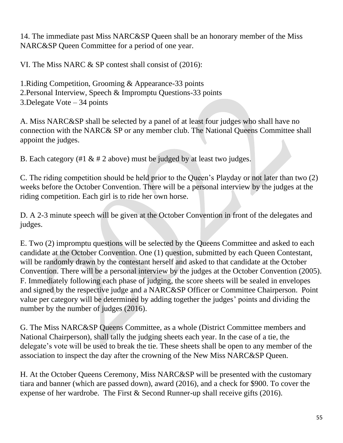14. The immediate past Miss NARC&SP Queen shall be an honorary member of the Miss NARC&SP Queen Committee for a period of one year.

VI. The Miss NARC & SP contest shall consist of (2016):

1.Riding Competition, Grooming & Appearance-33 points 2.Personal Interview, Speech & Impromptu Questions-33 points 3.Delegate Vote – 34 points

A. Miss NARC&SP shall be selected by a panel of at least four judges who shall have no connection with the NARC& SP or any member club. The National Queens Committee shall appoint the judges.

B. Each category (#1  $\&$  # 2 above) must be judged by at least two judges.

C. The riding competition should be held prior to the Queen's Playday or not later than two (2) weeks before the October Convention. There will be a personal interview by the judges at the riding competition. Each girl is to ride her own horse.

D. A 2-3 minute speech will be given at the October Convention in front of the delegates and judges.

E. Two (2) impromptu questions will be selected by the Queens Committee and asked to each candidate at the October Convention. One (1) question, submitted by each Queen Contestant, will be randomly drawn by the contestant herself and asked to that candidate at the October Convention. There will be a personal interview by the judges at the October Convention (2005). F. Immediately following each phase of judging, the score sheets will be sealed in envelopes and signed by the respective judge and a NARC&SP Officer or Committee Chairperson. Point value per category will be determined by adding together the judges' points and dividing the number by the number of judges (2016).

G. The Miss NARC&SP Queens Committee, as a whole (District Committee members and National Chairperson), shall tally the judging sheets each year. In the case of a tie, the delegate's vote will be used to break the tie. These sheets shall be open to any member of the association to inspect the day after the crowning of the New Miss NARC&SP Queen.

H. At the October Queens Ceremony, Miss NARC&SP will be presented with the customary tiara and banner (which are passed down), award (2016), and a check for \$900. To cover the expense of her wardrobe. The First & Second Runner-up shall receive gifts (2016).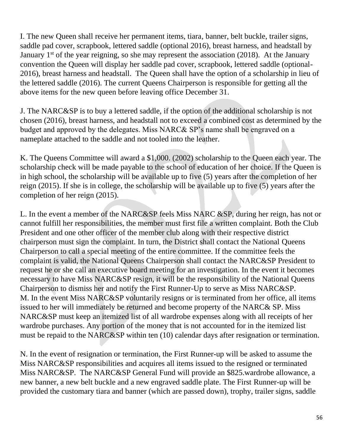I. The new Queen shall receive her permanent items, tiara, banner, belt buckle, trailer signs, saddle pad cover, scrapbook, lettered saddle (optional 2016), breast harness, and headstall by January  $1<sup>st</sup>$  of the year reigning, so she may represent the association (2018). At the January convention the Queen will display her saddle pad cover, scrapbook, lettered saddle (optional-2016), breast harness and headstall. The Queen shall have the option of a scholarship in lieu of the lettered saddle (2016). The current Queens Chairperson is responsible for getting all the above items for the new queen before leaving office December 31.

J. The NARC&SP is to buy a lettered saddle, if the option of the additional scholarship is not chosen (2016), breast harness, and headstall not to exceed a combined cost as determined by the budget and approved by the delegates. Miss NARC& SP's name shall be engraved on a nameplate attached to the saddle and not tooled into the leather.

K. The Queens Committee will award a \$1,000. (2002) scholarship to the Queen each year. The scholarship check will be made payable to the school of education of her choice. If the Queen is in high school, the scholarship will be available up to five (5) years after the completion of her reign (2015). If she is in college, the scholarship will be available up to five (5) years after the completion of her reign (2015).

L. In the event a member of the NARC&SP feels Miss NARC &SP, during her reign, has not or cannot fulfill her responsibilities, the member must first file a written complaint. Both the Club President and one other officer of the member club along with their respective district chairperson must sign the complaint. In turn, the District shall contact the National Queens Chairperson to call a special meeting of the entire committee. If the committee feels the complaint is valid, the National Queens Chairperson shall contact the NARC&SP President to request he or she call an executive board meeting for an investigation. In the event it becomes necessary to have Miss NARC&SP resign, it will be the responsibility of the National Queens Chairperson to dismiss her and notify the First Runner-Up to serve as Miss NARC&SP. M. In the event Miss NARC&SP voluntarily resigns or is terminated from her office, all items issued to her will immediately be returned and become property of the NARC& SP. Miss NARC&SP must keep an itemized list of all wardrobe expenses along with all receipts of her wardrobe purchases. Any portion of the money that is not accounted for in the itemized list must be repaid to the NARC&SP within ten (10) calendar days after resignation or termination.

N. In the event of resignation or termination, the First Runner-up will be asked to assume the Miss NARC&SP responsibilities and acquires all items issued to the resigned or terminated Miss NARC&SP. The NARC&SP General Fund will provide an \$825.wardrobe allowance, a new banner, a new belt buckle and a new engraved saddle plate. The First Runner-up will be provided the customary tiara and banner (which are passed down), trophy, trailer signs, saddle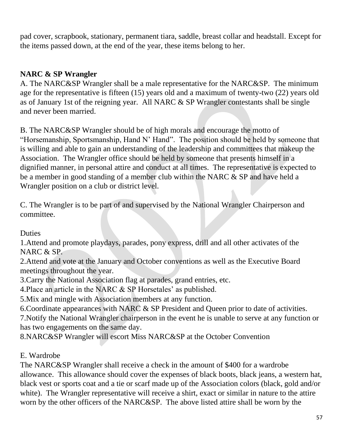pad cover, scrapbook, stationary, permanent tiara, saddle, breast collar and headstall. Except for the items passed down, at the end of the year, these items belong to her.

### **NARC & SP Wrangler**

A. The NARC&SP Wrangler shall be a male representative for the NARC&SP. The minimum age for the representative is fifteen (15) years old and a maximum of twenty-two (22) years old as of January 1st of the reigning year. All NARC & SP Wrangler contestants shall be single and never been married.

B. The NARC&SP Wrangler should be of high morals and encourage the motto of "Horsemanship, Sportsmanship, Hand N' Hand". The position should be held by someone that is willing and able to gain an understanding of the leadership and committees that makeup the Association. The Wrangler office should be held by someone that presents himself in a dignified manner, in personal attire and conduct at all times. The representative is expected to be a member in good standing of a member club within the NARC & SP and have held a Wrangler position on a club or district level.

C. The Wrangler is to be part of and supervised by the National Wrangler Chairperson and committee.

**Duties** 

1.Attend and promote playdays, parades, pony express, drill and all other activates of the NARC & SP.

2.Attend and vote at the January and October conventions as well as the Executive Board meetings throughout the year.

3.Carry the National Association flag at parades, grand entries, etc.

4.Place an article in the NARC & SP Horsetales' as published.

5.Mix and mingle with Association members at any function.

6.Coordinate appearances with NARC & SP President and Queen prior to date of activities.

7.Notify the National Wrangler chairperson in the event he is unable to serve at any function or has two engagements on the same day.

8.NARC&SP Wrangler will escort Miss NARC&SP at the October Convention

#### E. Wardrobe

The NARC&SP Wrangler shall receive a check in the amount of \$400 for a wardrobe allowance. This allowance should cover the expenses of black boots, black jeans, a western hat, black vest or sports coat and a tie or scarf made up of the Association colors (black, gold and/or white). The Wrangler representative will receive a shirt, exact or similar in nature to the attire worn by the other officers of the NARC&SP. The above listed attire shall be worn by the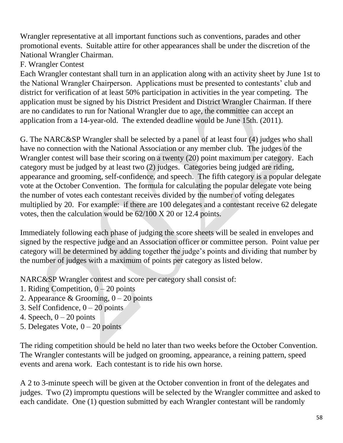Wrangler representative at all important functions such as conventions, parades and other promotional events. Suitable attire for other appearances shall be under the discretion of the National Wrangler Chairman.

## F. Wrangler Contest

Each Wrangler contestant shall turn in an application along with an activity sheet by June 1st to the National Wrangler Chairperson. Applications must be presented to contestants' club and district for verification of at least 50% participation in activities in the year competing. The application must be signed by his District President and District Wrangler Chairman. If there are no candidates to run for National Wrangler due to age, the committee can accept an application from a 14-year-old. The extended deadline would be June 15th. (2011).

G. The NARC&SP Wrangler shall be selected by a panel of at least four (4) judges who shall have no connection with the National Association or any member club. The judges of the Wrangler contest will base their scoring on a twenty (20) point maximum per category. Each category must be judged by at least two (2) judges. Categories being judged are riding, appearance and grooming, self-confidence, and speech. The fifth category is a popular delegate vote at the October Convention. The formula for calculating the popular delegate vote being the number of votes each contestant receives divided by the number of voting delegates multiplied by 20. For example: if there are 100 delegates and a contestant receive 62 delegate votes, then the calculation would be 62/100 X 20 or 12.4 points.

Immediately following each phase of judging the score sheets will be sealed in envelopes and signed by the respective judge and an Association officer or committee person. Point value per category will be determined by adding together the judge's points and dividing that number by the number of judges with a maximum of points per category as listed below.

NARC&SP Wrangler contest and score per category shall consist of:

- 1. Riding Competition,  $0 20$  points
- 2. Appearance & Grooming,  $0 20$  points
- 3. Self Confidence,  $0 20$  points
- 4. Speech,  $0 20$  points
- 5. Delegates Vote,  $0 20$  points

The riding competition should be held no later than two weeks before the October Convention. The Wrangler contestants will be judged on grooming, appearance, a reining pattern, speed events and arena work. Each contestant is to ride his own horse.

A 2 to 3-minute speech will be given at the October convention in front of the delegates and judges. Two (2) impromptu questions will be selected by the Wrangler committee and asked to each candidate. One (1) question submitted by each Wrangler contestant will be randomly